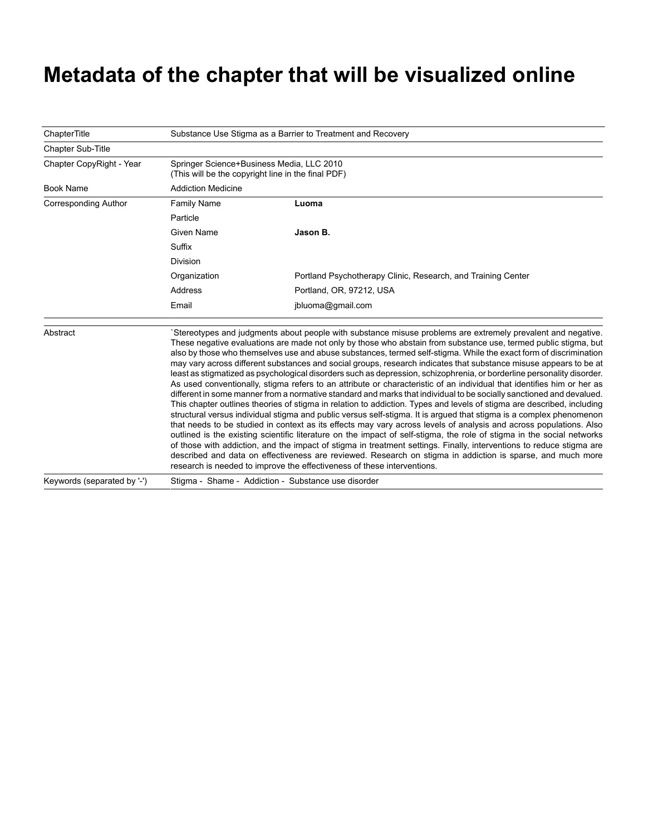# **Metadata of the chapter that will be visualized online**

| ChapterTitle                | Substance Use Stigma as a Barrier to Treatment and Recovery                                                                                                                                                                                                                                                                                                                                                                                                                                                                                                                                                                                                                                                                                                                                                                                                                                                                                                                                                                                                                                                                                                                                                                                                                                                                                                                                                                                                                                                                                                                                                                                                            |                                                              |  |
|-----------------------------|------------------------------------------------------------------------------------------------------------------------------------------------------------------------------------------------------------------------------------------------------------------------------------------------------------------------------------------------------------------------------------------------------------------------------------------------------------------------------------------------------------------------------------------------------------------------------------------------------------------------------------------------------------------------------------------------------------------------------------------------------------------------------------------------------------------------------------------------------------------------------------------------------------------------------------------------------------------------------------------------------------------------------------------------------------------------------------------------------------------------------------------------------------------------------------------------------------------------------------------------------------------------------------------------------------------------------------------------------------------------------------------------------------------------------------------------------------------------------------------------------------------------------------------------------------------------------------------------------------------------------------------------------------------------|--------------------------------------------------------------|--|
| <b>Chapter Sub-Title</b>    |                                                                                                                                                                                                                                                                                                                                                                                                                                                                                                                                                                                                                                                                                                                                                                                                                                                                                                                                                                                                                                                                                                                                                                                                                                                                                                                                                                                                                                                                                                                                                                                                                                                                        |                                                              |  |
| Chapter CopyRight - Year    | Springer Science+Business Media, LLC 2010<br>(This will be the copyright line in the final PDF)                                                                                                                                                                                                                                                                                                                                                                                                                                                                                                                                                                                                                                                                                                                                                                                                                                                                                                                                                                                                                                                                                                                                                                                                                                                                                                                                                                                                                                                                                                                                                                        |                                                              |  |
| <b>Book Name</b>            | <b>Addiction Medicine</b>                                                                                                                                                                                                                                                                                                                                                                                                                                                                                                                                                                                                                                                                                                                                                                                                                                                                                                                                                                                                                                                                                                                                                                                                                                                                                                                                                                                                                                                                                                                                                                                                                                              |                                                              |  |
| <b>Corresponding Author</b> | <b>Family Name</b>                                                                                                                                                                                                                                                                                                                                                                                                                                                                                                                                                                                                                                                                                                                                                                                                                                                                                                                                                                                                                                                                                                                                                                                                                                                                                                                                                                                                                                                                                                                                                                                                                                                     | Luoma                                                        |  |
|                             | Particle                                                                                                                                                                                                                                                                                                                                                                                                                                                                                                                                                                                                                                                                                                                                                                                                                                                                                                                                                                                                                                                                                                                                                                                                                                                                                                                                                                                                                                                                                                                                                                                                                                                               |                                                              |  |
|                             | <b>Given Name</b>                                                                                                                                                                                                                                                                                                                                                                                                                                                                                                                                                                                                                                                                                                                                                                                                                                                                                                                                                                                                                                                                                                                                                                                                                                                                                                                                                                                                                                                                                                                                                                                                                                                      | Jason B.                                                     |  |
|                             | Suffix                                                                                                                                                                                                                                                                                                                                                                                                                                                                                                                                                                                                                                                                                                                                                                                                                                                                                                                                                                                                                                                                                                                                                                                                                                                                                                                                                                                                                                                                                                                                                                                                                                                                 |                                                              |  |
|                             | Division                                                                                                                                                                                                                                                                                                                                                                                                                                                                                                                                                                                                                                                                                                                                                                                                                                                                                                                                                                                                                                                                                                                                                                                                                                                                                                                                                                                                                                                                                                                                                                                                                                                               |                                                              |  |
|                             | Organization                                                                                                                                                                                                                                                                                                                                                                                                                                                                                                                                                                                                                                                                                                                                                                                                                                                                                                                                                                                                                                                                                                                                                                                                                                                                                                                                                                                                                                                                                                                                                                                                                                                           | Portland Psychotherapy Clinic, Research, and Training Center |  |
|                             | Address                                                                                                                                                                                                                                                                                                                                                                                                                                                                                                                                                                                                                                                                                                                                                                                                                                                                                                                                                                                                                                                                                                                                                                                                                                                                                                                                                                                                                                                                                                                                                                                                                                                                | Portland, OR, 97212, USA                                     |  |
|                             | Email                                                                                                                                                                                                                                                                                                                                                                                                                                                                                                                                                                                                                                                                                                                                                                                                                                                                                                                                                                                                                                                                                                                                                                                                                                                                                                                                                                                                                                                                                                                                                                                                                                                                  | jbluoma@gmail.com                                            |  |
| Abstract                    | Stereotypes and judgments about people with substance misuse problems are extremely prevalent and negative.<br>These negative evaluations are made not only by those who abstain from substance use, termed public stigma, but<br>also by those who themselves use and abuse substances, termed self-stigma. While the exact form of discrimination<br>may vary across different substances and social groups, research indicates that substance misuse appears to be at<br>least as stigmatized as psychological disorders such as depression, schizophrenia, or borderline personality disorder.<br>As used conventionally, stigma refers to an attribute or characteristic of an individual that identifies him or her as<br>different in some manner from a normative standard and marks that individual to be socially sanctioned and devalued.<br>This chapter outlines theories of stigma in relation to addiction. Types and levels of stigma are described, including<br>structural versus individual stigma and public versus self-stigma. It is argued that stigma is a complex phenomenon<br>that needs to be studied in context as its effects may vary across levels of analysis and across populations. Also<br>outlined is the existing scientific literature on the impact of self-stigma, the role of stigma in the social networks<br>of those with addiction, and the impact of stigma in treatment settings. Finally, interventions to reduce stigma are<br>described and data on effectiveness are reviewed. Research on stigma in addiction is sparse, and much more<br>research is needed to improve the effectiveness of these interventions. |                                                              |  |
| Keywords (separated by '-') |                                                                                                                                                                                                                                                                                                                                                                                                                                                                                                                                                                                                                                                                                                                                                                                                                                                                                                                                                                                                                                                                                                                                                                                                                                                                                                                                                                                                                                                                                                                                                                                                                                                                        | Stigma - Shame - Addiction - Substance use disorder          |  |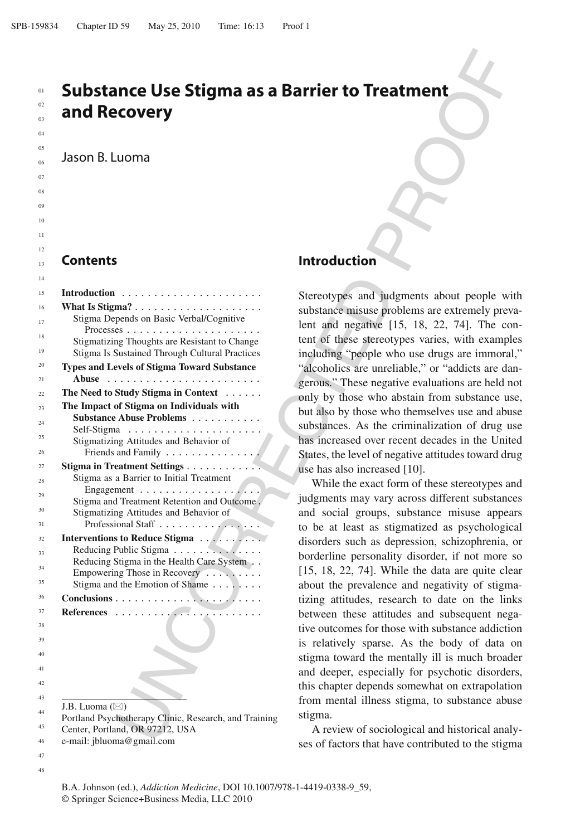# **Contents**

| <b>Substance Use Stigma as a Barrier to Treatment</b>                                                |                                                                                               |
|------------------------------------------------------------------------------------------------------|-----------------------------------------------------------------------------------------------|
| and Recovery                                                                                         |                                                                                               |
|                                                                                                      |                                                                                               |
| Jason B. Luoma                                                                                       |                                                                                               |
|                                                                                                      |                                                                                               |
|                                                                                                      |                                                                                               |
|                                                                                                      |                                                                                               |
| <b>Contents</b>                                                                                      | <b>Introduction</b>                                                                           |
|                                                                                                      |                                                                                               |
|                                                                                                      | Stereotypes and judgments about people wit<br>substance misuse problems are extremely preva   |
| Stigma Depends on Basic Verbal/Cognitive                                                             |                                                                                               |
|                                                                                                      | lent and negative [15, 18, 22, 74]. The cor<br>tent of these stereotypes varies, with example |
| Stigmatizing Thoughts are Resistant to Change                                                        |                                                                                               |
| Stigma Is Sustained Through Cultural Practices<br><b>Types and Levels of Stigma Toward Substance</b> | including "people who use drugs are immoral                                                   |
|                                                                                                      | "alcoholics are unreliable," or "addicts are dan                                              |
| The Need to Study Stigma in Context                                                                  | gerous." These negative evaluations are held no                                               |
| The Impact of Stigma on Individuals with                                                             | only by those who abstain from substance us                                                   |
| Substance Abuse Problems                                                                             | but also by those who themselves use and abus                                                 |
|                                                                                                      | substances. As the criminalization of drug us                                                 |
| Stigmatizing Attitudes and Behavior of                                                               | has increased over recent decades in the Unite                                                |
| Friends and Family $\dots \dots \dots \dots$                                                         | States, the level of negative attitudes toward dru                                            |
| Stigma in Treatment Settings<br>Stigma as a Barrier to Initial Treatment                             | use has also increased [10].                                                                  |
| Engagement $\ldots \ldots \ldots \ldots \ldots$                                                      | While the exact form of these stereotypes an                                                  |
| Stigma and Treatment Retention and Outcome.                                                          | judgments may vary across different substance                                                 |
| Stigmatizing Attitudes and Behavior of                                                               | and social groups, substance misuse appear                                                    |
| Professional Staff                                                                                   | to be at least as stigmatized as psychologica                                                 |
| Reducing Public Stigma                                                                               | disorders such as depression, schizophrenia, o                                                |
| Reducing Stigma in the Health Care System                                                            | borderline personality disorder, if not more s                                                |
| Empowering Those in Recovery $\dots$ , $\dots$                                                       | $[15, 18, 22, 74]$ . While the data are quite clea                                            |
| Stigma and the Emotion of Shame                                                                      | about the prevalence and negativity of stigma                                                 |
|                                                                                                      | tizing attitudes, research to date on the link                                                |
|                                                                                                      | between these attitudes and subsequent nega                                                   |
|                                                                                                      | tive outcomes for those with substance addiction                                              |
|                                                                                                      | is relatively sparse. As the body of data o                                                   |
|                                                                                                      | stigma toward the mentally ill is much broad                                                  |
|                                                                                                      | and deeper, especially for psychotic disorder                                                 |
|                                                                                                      | this chapter depends somewhat on extrapolatic                                                 |
| J.B. Luoma $(\boxtimes)$                                                                             | from mental illness stigma, to substance abus                                                 |
| Portland Psychotherapy Clinic, Research, and Training                                                | stigma.                                                                                       |
| Center, Portland, OR 97212, USA                                                                      | A review of sociological and historical analy                                                 |
| e-mail: jbluoma@gmail.com                                                                            | ses of factors that have contributed to the stigm                                             |

### 47

48

A review of sociological and historical analyses of factors that have contributed to the stigma

<span id="page-1-0"></span>While the exact form of these stereotypes and judgments may vary across different substances

B.A. Johnson (ed.), *Addiction Medicine*, DOI 10.1007/978-1-4419-0338-9\_59, © Springer Science+Business Media, LLC 2010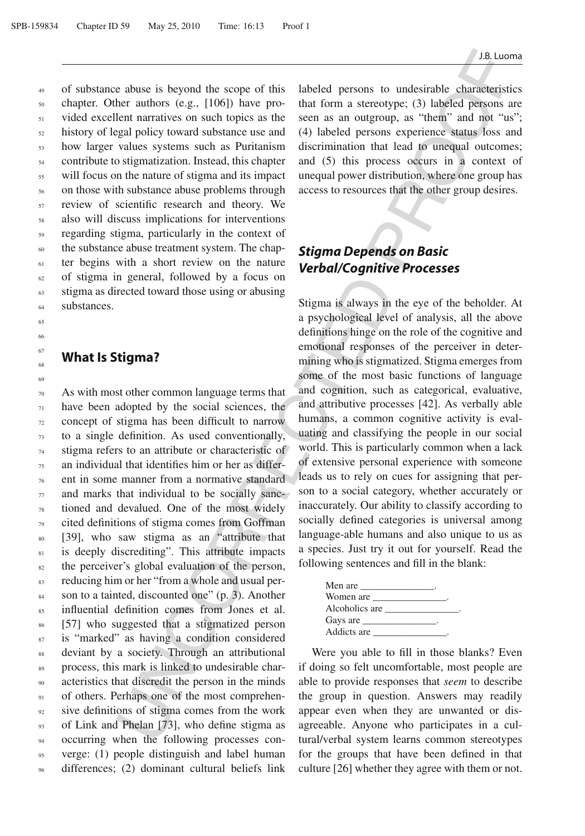49 50 51 52 53 54 55 56 57 58 59 60 61 62 63 64 of substance abuse is beyond the scope of this chapter. Other authors (e.g., [106]) have provided excellent narratives on such topics as the history of legal policy toward substance use and how larger values systems such as Puritanism contribute to stigmatization. Instead, this chapter will focus on the nature of stigma and its impact on those with substance abuse problems through review of scientific research and theory. We also will discuss implications for interventions regarding stigma, particularly in the context of the substance abuse treatment system. The chapter begins with a short review on the nature of stigma in general, followed by a focus on stigma as directed toward those using or abusing substances.

### <span id="page-2-0"></span>**What Is Stigma?**

**EXERCT THE S[U](#page-19-1)CTAINS (SET THE SUCTAINS (SET THE SUCTAINS (SET THE SUCTAINS (SET THE SUCTAINS (SET THE SUCTAINS (SET THE SUCTAINS (SET THE SUCTAINS (SET THE SUCTAINS (SET THE SUCTAINS (SET THE SUCTAINS (SET THE SUCTAINS (S** 70 71 72 73 74 75 76 77 78 79 80 81 82 83 84 85 86 87 88 89 90 91 92 93 94 95 96 As with most other common language terms that have been adopted by the social sciences, the concept of stigma has been difficult to narrow to a single definition. As used conventionally, stigma refers to an attribute or characteristic of an individual that identifies him or her as different in some manner from a normative standard and marks that individual to be socially sanctioned and devalued. One of the most widely cited definitions of stigma comes from Goffman [\[39\]](#page-18-0), who saw stigma as an "attribute that is deeply discrediting". This attribute impacts the perceiver's global evaluation of the person, reducing him or her "from a whole and usual person to a tainted, discounted one" (p. 3). Another influential definition comes from Jones et al. [\[57\]](#page-18-1) who suggested that a stigmatized person is "marked" as having a condition considered deviant by a society. Through an attributional process, this mark is linked to undesirable characteristics that discredit the person in the minds of others. Perhaps one of the most comprehensive definitions of stigma comes from the work of Link and Phelan [73], who define stigma as occurring when the following processes converge: (1) people distinguish and label human differences; (2) dominant cultural beliefs link

labeled persons to undesirable characteristics that form a stereotype; (3) labeled persons are seen as an outgroup, as "them" and not "us"; (4) labeled persons experience status loss and discrimination that lead to unequal outcomes; and (5) this process occurs in a context of unequal power distribution, where one group has access to resources that the other group desires.

# <span id="page-2-1"></span>*Stigma Depends on Basic Verbal/Cognitive Processes*

Stigma is always in the eye of the beholder. At a psychological level of analysis, all the above definitions hinge on the role of the cognitive and emotional responses of the perceiver in determining who is stigmatized. Stigma emerges from some of the most basic functions of language and cognition, such as categorical, evaluative, and attributive processes [42]. As verbally able humans, a common cognitive activity is evaluating and classifying the people in our social world. This is particularly common when a lack of extensive personal experience with someone leads us to rely on cues for assigning that person to a social category, whether accurately or inaccurately. Our ability to classify according to socially defined categories is universal among language-able humans and also unique to us as a species. Just try it out for yourself. Read the following sentences and fill in the blank:



Were you able to fill in those blanks? Even if doing so felt uncomfortable, most people are able to provide responses that *seem* to describe the group in question. Answers may readily appear even when they are unwanted or disagreeable. Anyone who participates in a cultural/verbal system learns common stereotypes for the groups that have been defined in that culture [\[26\]](#page-17-5) whether they agree with them or not.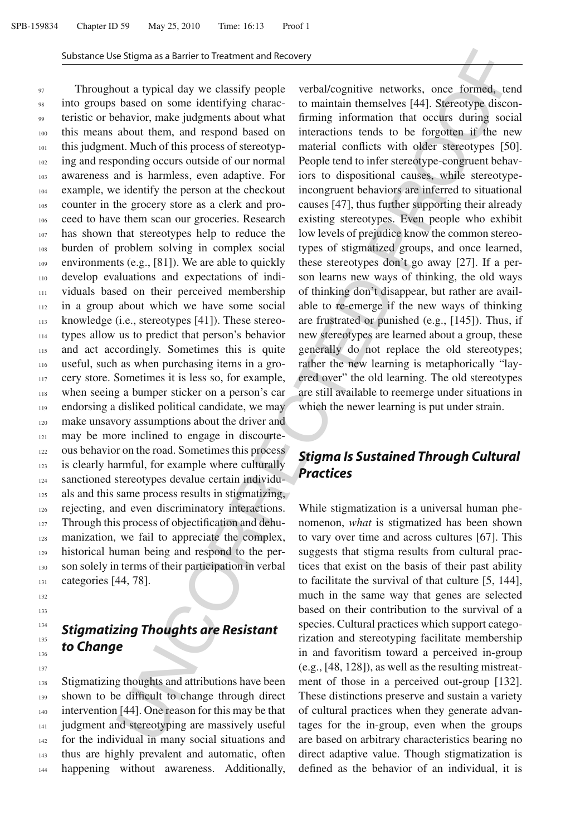e Stigma as a Barrier to Trestment and Recovery<br>of a cylical day we classify people verbal/cognitive networks, once formed, ten<br>based on some liberalism the massive to maintain themselves  $[441, 8]$ <br>erecovery discontinues 97 98  $99$ 100 101 102 103 104 105 106 107 108 109 110 111 112 113 114 115 116 117 118 119 120 121 122 123 124 125 126 127 128 129 130 131 Throughout a typical day we classify people into groups based on some identifying characteristic or behavior, make judgments about what this means about them, and respond based on this judgment. Much of this process of stereotyping and responding occurs outside of our normal awareness and is harmless, even adaptive. For example, we identify the person at the checkout counter in the grocery store as a clerk and proceed to have them scan our groceries. Research has shown that stereotypes help to reduce the burden of problem solving in complex social environments (e.g., [81]). We are able to quickly develop evaluations and expectations of individuals based on their perceived membership in a group about which we have some social knowledge (i.e., stereotypes [41]). These stereotypes allow us to predict that person's behavior and act accordingly. Sometimes this is quite useful, such as when purchasing items in a grocery store. Sometimes it is less so, for example, when seeing a bumper sticker on a person's car endorsing a disliked political candidate, we may make unsavory assumptions about the driver and may be more inclined to engage in discourteous behavior on the road. Sometimes this process is clearly harmful, for example where culturally sanctioned stereotypes devalue certain individuals and this same process results in stigmatizing, rejecting, and even discriminatory interactions. Through this process of objectification and dehumanization, we fail to appreciate the complex, historical human being and respond to the person solely in terms of their participation in verbal categories [\[44,](#page-18-4) 78].

#### <span id="page-3-0"></span>134 135 136 *Stigmatizing Thoughts are Resistant to Change*

132 133

137

138 139 140 141 142 143 144 Stigmatizing thoughts and attributions have been shown to be difficult to change through direct intervention [44]. One reason for this may be that judgment and stereotyping are massively useful for the individual in many social situations and thus are highly prevalent and automatic, often happening without awareness. Additionally,

verbal/cognitive networks, once formed, tend to maintain themselves [44]. Stereotype disconfirming information that occurs during social interactions tends to be forgotten if the new material conflicts with older stereotypes [\[50\]](#page-18-5). People tend to infer stereotype-congruent behaviors to dispositional causes, while stereotypeincongruent behaviors are inferred to situational causes [47], thus further supporting their already existing stereotypes. Even people who exhibit low levels of prejudice know the common stereotypes of stigmatized groups, and once learned, these stereotypes don't go away [27]. If a person learns new ways of thinking, the old ways of thinking don't disappear, but rather are available to re-emerge if the new ways of thinking are frustrated or punished (e.g., [145]). Thus, if new stereotypes are learned about a group, these generally do not replace the old stereotypes; rather the new learning is metaphorically "layered over" the old learning. The old stereotypes are still available to reemerge under situations in which the newer learning is put under strain.

# <span id="page-3-1"></span>*Stigma Is Sustained Through Cultural Practices*

While stigmatization is a universal human phenomenon, *what* is stigmatized has been shown to vary over time and across cultures [67]. This suggests that stigma results from cultural practices that exist on the basis of their past ability to facilitate the survival of that culture [5, 144], much in the same way that genes are selected based on their contribution to the survival of a species. Cultural practices which support categorization and stereotyping facilitate membership in and favoritism toward a perceived in-group (e.g., [48, 128]), as well as the resulting mistreatment of those in a perceived out-group [\[132\]](#page-21-3). These distinctions preserve and sustain a variety of cultural practices when they generate advantages for the in-group, even when the groups are based on arbitrary characteristics bearing no direct adaptive value. Though stigmatization is defined as the behavior of an individual, it is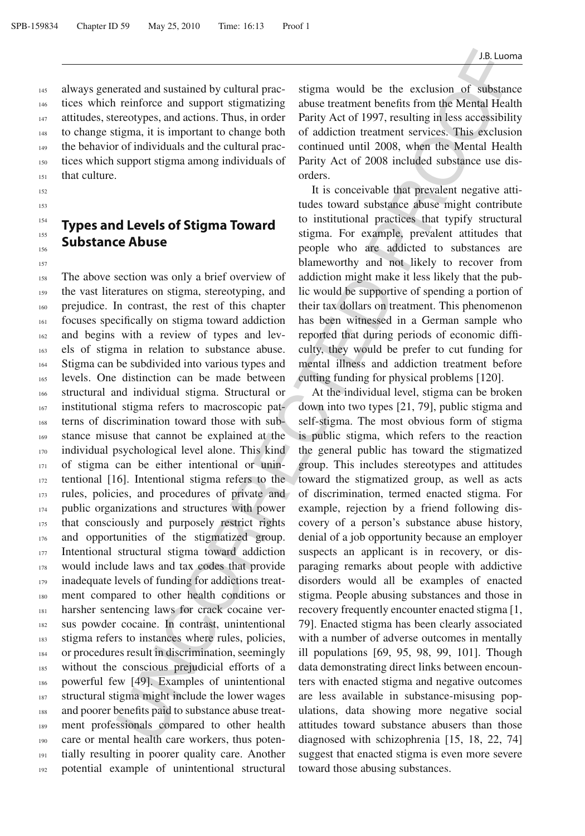145 146 147 148 149 150 151 always generated and sustained by cultural practices which reinforce and support stigmatizing attitudes, stereotypes, and actions. Thus, in order to change stigma, it is important to change both the behavior of individuals and the cultural practices which support stigma among individuals of that culture.

- 152
- <span id="page-4-0"></span>153

157

#### 154 155 156 **Types and Levels of Stigma Toward Substance Abuse**

The line of such as the seale of substance data system would be the exclusion of substance<br>renotinces and subsport stigmatizing abuse terature then the form of solential<br>energy person, at is in point and renotinct and PA 158 159 160 161 162 163 164 165 166 167 168 169 170 171 172 173 174 175 176 177 178 179 180 181 182 183 184 185 186 187 188 189 190 191 192 The above section was only a brief overview of the vast literatures on stigma, stereotyping, and prejudice. In contrast, the rest of this chapter focuses specifically on stigma toward addiction and begins with a review of types and levels of stigma in relation to substance abuse. Stigma can be subdivided into various types and levels. One distinction can be made between structural and individual stigma. Structural or institutional stigma refers to macroscopic patterns of discrimination toward those with substance misuse that cannot be explained at the individual psychological level alone. This kind of stigma can be either intentional or unintentional [\[16\]](#page-17-8). Intentional stigma refers to the rules, policies, and procedures of private and public organizations and structures with power that consciously and purposely restrict rights and opportunities of the stigmatized group. Intentional structural stigma toward addiction would include laws and tax codes that provide inadequate levels of funding for addictions treatment compared to other health conditions or harsher sentencing laws for crack cocaine versus powder cocaine. In contrast, unintentional stigma refers to instances where rules, policies, or procedures result in discrimination, seemingly without the conscious prejudicial efforts of a powerful few [49]. Examples of unintentional structural stigma might include the lower wages and poorer benefits paid to substance abuse treatment professionals compared to other health care or mental health care workers, thus potentially resulting in poorer quality care. Another potential example of unintentional structural

stigma would be the exclusion of substance abuse treatment benefits from the Mental Health Parity Act of 1997, resulting in less accessibility of addiction treatment services. This exclusion continued until 2008, when the Mental Health Parity Act of 2008 included substance use disorders.

It is conceivable that prevalent negative attitudes toward substance abuse might contribute to institutional practices that typify structural stigma. For example, prevalent attitudes that people who are addicted to substances are blameworthy and not likely to recover from addiction might make it less likely that the public would be supportive of spending a portion of their tax dollars on treatment. This phenomenon has been witnessed in a German sample who reported that during periods of economic difficulty, they would be prefer to cut funding for mental illness and addiction treatment before cutting funding for physical problems [120].

At the individual level, stigma can be broken down into two types [21, 79], public stigma and self-stigma. The most obvious form of stigma is public stigma, which refers to the reaction the general public has toward the stigmatized group. This includes stereotypes and attitudes toward the stigmatized group, as well as acts of discrimination, termed enacted stigma. For example, rejection by a friend following discovery of a person's substance abuse history, denial of a job opportunity because an employer suspects an applicant is in recovery, or disparaging remarks about people with addictive disorders would all be examples of enacted stigma. People abusing substances and those in recovery frequently encounter enacted stigma [\[1,](#page-17-10) 79]. Enacted stigma has been clearly associated with a number of adverse outcomes in mentally ill populations [69, 95, 98, 99, 101]. Though data demonstrating direct links between encounters with enacted stigma and negative outcomes are less available in substance-misusing populations, data showing more negative social attitudes toward substance abusers than those diagnosed with schizophrenia [\[15,](#page-17-1) [18,](#page-17-2) [22,](#page-17-3) [74\]](#page-19-0) suggest that enacted stigma is even more severe toward those abusing substances.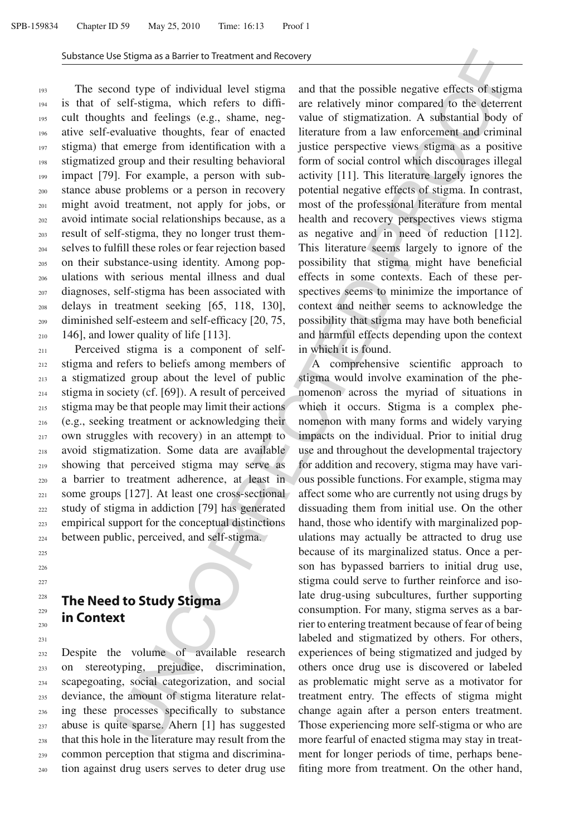193 194 195 196 197 198 199  $200$ 201 202 203 204 205 206 207 208 209 210 The second type of individual level stigma is that of self-stigma, which refers to difficult thoughts and feelings (e.g., shame, negative self-evaluative thoughts, fear of enacted stigma) that emerge from identification with a stigmatized group and their resulting behavioral impact [\[79\]](#page-19-5). For example, a person with substance abuse problems or a person in recovery might avoid treatment, not apply for jobs, or avoid intimate social relationships because, as a result of self-stigma, they no longer trust themselves to fulfill these roles or fear rejection based on their substance-using identity. Among populations with serious mental illness and dual diagnoses, self-stigma has been associated with delays in treatment seeking [65, 118, 130], diminished self-esteem and self-efficacy [20, 75, [146\]](#page-21-5), and lower quality of life [113].

211 212 213 214 215 216 217 218 219 220 221 222 223 224 Perceived stigma is a component of selfstigma and refers to beliefs among members of a stigmatized group about the level of public stigma in society (cf. [69]). A result of perceived stigma may be that people may limit their actions (e.g., seeking treatment or acknowledging their own struggles with recovery) in an attempt to avoid stigmatization. Some data are available showing that perceived stigma may serve as a barrier to treatment adherence, at least in some groups [127]. At least one cross-sectional study of stigma in addiction [79] has generated empirical support for the conceptual distinctions between public, perceived, and self-stigma.

#### <span id="page-5-0"></span>228 229 230 **The Need to Study Stigma in Context**

225  $226$ 227

 $231$ 

232 233 234 235 236 237 238 239 240 Despite the volume of available research on stereotyping, prejudice, discrimination, scapegoating, social categorization, and social deviance, the amount of stigma literature relating these processes specifically to substance abuse is quite sparse. Ahern [1] has suggested that this hole in the literature may result from the common perception that stigma and discrimination against drug users serves to deter drug use and that the possible negative effects of stigma are relatively minor compared to the deterrent value of stigmatization. A substantial body of literature from a law enforcement and criminal justice perspective views stigma as a positive form of social control which discourages illegal activity [11]. This literature largely ignores the potential negative effects of stigma. In contrast, most of the professional literature from mental health and recovery perspectives views stigma as negative and in need of reduction [112]. This literature seems largely to ignore of the possibility that stigma might have beneficial effects in some contexts. Each of these perspectives seems to minimize the importance of context and neither seems to acknowledge the possibility that stigma may have both beneficial and harmful effects depending upon the context in which it is found.

e Stigma as a Barrier to Trestment and [R](#page-19-5)ecovery<br>
and type of individual level stigma and that the possible negative effects of stigma<br>
self-stigma, which refers to diffi- are relatively union compared for the deterministi A comprehensive scientific approach to stigma would involve examination of the phenomenon across the myriad of situations in which it occurs. Stigma is a complex phenomenon with many forms and widely varying impacts on the individual. Prior to initial drug use and throughout the developmental trajectory for addition and recovery, stigma may have various possible functions. For example, stigma may affect some who are currently not using drugs by dissuading them from initial use. On the other hand, those who identify with marginalized populations may actually be attracted to drug use because of its marginalized status. Once a person has bypassed barriers to initial drug use, stigma could serve to further reinforce and isolate drug-using subcultures, further supporting consumption. For many, stigma serves as a barrier to entering treatment because of fear of being labeled and stigmatized by others. For others, experiences of being stigmatized and judged by others once drug use is discovered or labeled as problematic might serve as a motivator for treatment entry. The effects of stigma might change again after a person enters treatment. Those experiencing more self-stigma or who are more fearful of enacted stigma may stay in treatment for longer periods of time, perhaps benefiting more from treatment. On the other hand,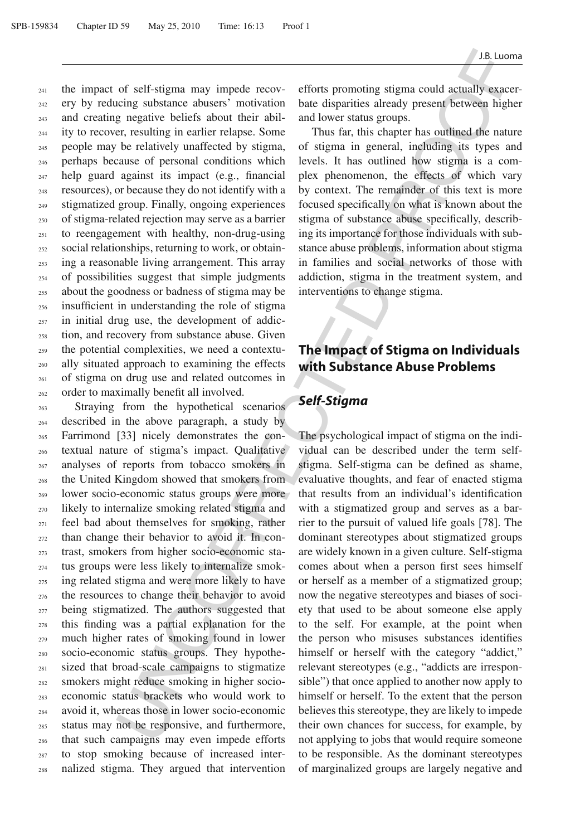241 242 243 244 245 246  $247$  $248$ 249 250 251 252 253 254 255 256 257 258 259 260 261 262 the impact of self-stigma may impede recovery by reducing substance abusers' motivation and creating negative beliefs about their ability to recover, resulting in earlier relapse. Some people may be relatively unaffected by stigma, perhaps because of personal conditions which help guard against its impact (e.g., financial resources), or because they do not identify with a stigmatized group. Finally, ongoing experiences of stigma-related rejection may serve as a barrier to reengagement with healthy, non-drug-using social relationships, returning to work, or obtaining a reasonable living arrangement. This array of possibilities suggest that simple judgments about the goodness or badness of stigma may be insufficient in understanding the role of stigma in initial drug use, the development of addiction, and recovery from substance abuse. Given the potential complexities, we need a contextually situated approach to examining the effects of stigma on drug use and related outcomes in order to maximally benefit all involved.

263 264 265 266 267 268 269 270 271 272 273 274 275 276 277 278  $27<sup>°</sup>$ 280 281 282 283 284 285 286 287 288 Straying from the hypothetical scenarios described in the above paragraph, a study by Farrimond [33] nicely demonstrates the contextual nature of stigma's impact. Qualitative analyses of reports from tobacco smokers in the United Kingdom showed that smokers from lower socio-economic status groups were more likely to internalize smoking related stigma and feel bad about themselves for smoking, rather than change their behavior to avoid it. In contrast, smokers from higher socio-economic status groups were less likely to internalize smoking related stigma and were more likely to have the resources to change their behavior to avoid being stigmatized. The authors suggested that this finding was a partial explanation for the much higher rates of smoking found in lower socio-economic status groups. They hypothesized that broad-scale campaigns to stigmatize smokers might reduce smoking in higher socioeconomic status brackets who would work to avoid it, whereas those in lower socio-economic status may not be responsive, and furthermore, that such campaigns may even impede efforts to stop smoking because of increased internalized stigma. They argued that intervention

efforts promoting stigma could actually exacerbate disparities already present between higher and lower status groups.

Thus far, this chapter has outlined the nature of stigma in general, including its types and levels. It has outlined how stigma is a complex phenomenon, the effects of which vary by context. The remainder of this text is more focused specifically on what is known about the stigma of substance abuse specifically, describing its importance for those individuals with substance abuse problems, information about stigma in families and social networks of those with addiction, stigma in the treatment system, and interventions to change stigma.

# <span id="page-6-0"></span>**The Impact of Stigma on Individuals with Substance Abuse Problems**

## <span id="page-6-1"></span>*Self-Stigma*

of self-stigma may impede recov-<br>efforts promoting stigma could actually exace<br>ge negative beliefs about their disjonalization comparison and the stigma could actually exace<br>ge negative beliefs about their disjonalization The psychological impact of stigma on the individual can be described under the term selfstigma. Self-stigma can be defined as shame, evaluative thoughts, and fear of enacted stigma that results from an individual's identification with a stigmatized group and serves as a barrier to the pursuit of valued life goals [78]. The dominant stereotypes about stigmatized groups are widely known in a given culture. Self-stigma comes about when a person first sees himself or herself as a member of a stigmatized group; now the negative stereotypes and biases of society that used to be about someone else apply to the self. For example, at the point when the person who misuses substances identifies himself or herself with the category "addict," relevant stereotypes (e.g., "addicts are irresponsible") that once applied to another now apply to himself or herself. To the extent that the person believes this stereotype, they are likely to impede their own chances for success, for example, by not applying to jobs that would require someone to be responsible. As the dominant stereotypes of marginalized groups are largely negative and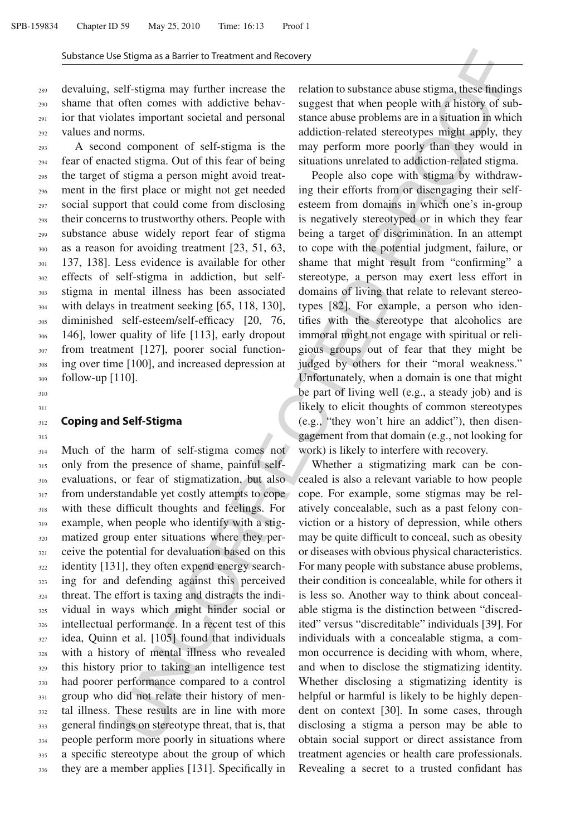289 290  $291$ 292 devaluing, self-stigma may further increase the shame that often comes with addictive behavior that violates important societal and personal values and norms.

293 294 295  $296$ 297 298 299 300 301 302 303 304 305 306 307 308 309 A second component of self-stigma is the fear of enacted stigma. Out of this fear of being the target of stigma a person might avoid treatment in the first place or might not get needed social support that could come from disclosing their concerns to trustworthy others. People with substance abuse widely report fear of stigma as a reason for avoiding treatment [23, 51, 63, [137,](#page-21-7) [138\]](#page-21-8). Less evidence is available for other effects of self-stigma in addiction, but selfstigma in mental illness has been associated with delays in treatment seeking [65, 118, 130], diminished self-esteem/self-efficacy [20, 76, [146\]](#page-21-5), lower quality of life [113], early dropout from treatment [127], poorer social functioning over time [100], and increased depression at follow-up [\[110\]](#page-20-10).

#### 312 **Coping and Self-Stigma**

313

310 311

314 315 316 317 318 319 320 321 322 323 324 325 326 327 328 329 330 331 332 333 334 335 336 Much of the harm of self-stigma comes not only from the presence of shame, painful selfevaluations, or fear of stigmatization, but also from understandable yet costly attempts to cope with these difficult thoughts and feelings. For example, when people who identify with a stigmatized group enter situations where they perceive the potential for devaluation based on this identity [\[131\]](#page-21-9), they often expend energy searching for and defending against this perceived threat. The effort is taxing and distracts the individual in ways which might hinder social or intellectual performance. In a recent test of this idea, Quinn et al. [105] found that individuals with a history of mental illness who revealed this history prior to taking an intelligence test had poorer performance compared to a control group who did not relate their history of mental illness. These results are in line with more general findings on stereotype threat, that is, that people perform more poorly in situations where a specific stereotype about the group of which they are a member applies [\[131\]](#page-21-9). Specifically in

relation to substance abuse stigma, these findings suggest that when people with a history of substance abuse problems are in a situation in which addiction-related stereotypes might apply, they may perform more poorly than they would in situations unrelated to addiction-related stigma.

e Stigma as a Barrier to Trestment and Recovery<br>
estigma any further increase the relation to substance abuse stigma, these finding<br>the action of the stigma any further increase the relation to substance abuse graphs, the People also cope with stigma by withdrawing their efforts from or disengaging their selfesteem from domains in which one's in-group is negatively stereotyped or in which they fear being a target of discrimination. In an attempt to cope with the potential judgment, failure, or shame that might result from "confirming" a stereotype, a person may exert less effort in domains of living that relate to relevant stereotypes [82]. For example, a person who identifies with the stereotype that alcoholics are immoral might not engage with spiritual or religious groups out of fear that they might be judged by others for their "moral weakness." Unfortunately, when a domain is one that might be part of living well (e.g., a steady job) and is likely to elicit thoughts of common stereotypes (e.g., "they won't hire an addict"), then disengagement from that domain (e.g., not looking for work) is likely to interfere with recovery.

Whether a stigmatizing mark can be concealed is also a relevant variable to how people cope. For example, some stigmas may be relatively concealable, such as a past felony conviction or a history of depression, while others may be quite difficult to conceal, such as obesity or diseases with obvious physical characteristics. For many people with substance abuse problems, their condition is concealable, while for others it is less so. Another way to think about concealable stigma is the distinction between "discredited" versus "discreditable" individuals [39]. For individuals with a concealable stigma, a common occurrence is deciding with whom, where, and when to disclose the stigmatizing identity. Whether disclosing a stigmatizing identity is helpful or harmful is likely to be highly dependent on context [30]. In some cases, through disclosing a stigma a person may be able to obtain social support or direct assistance from treatment agencies or health care professionals. Revealing a secret to a trusted confidant has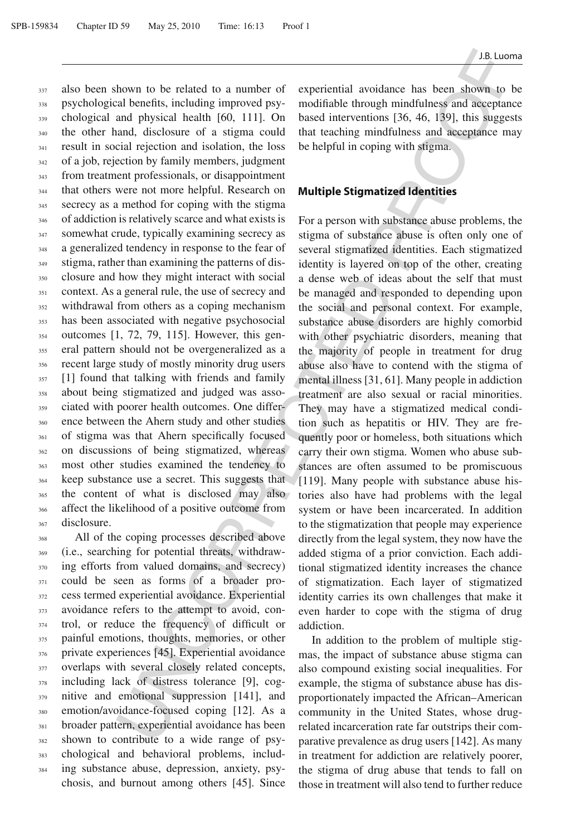337 338 339 340 341 342 343 344 345 346 347 348 349 350 351 352 353 354 355 356 357 358 359 360 361 362 363 364 365 366 367 also been shown to be related to a number of psychological benefits, including improved psychological and physical health [60, 111]. On the other hand, disclosure of a stigma could result in social rejection and isolation, the loss of a job, rejection by family members, judgment from treatment professionals, or disappointment that others were not more helpful. Research on secrecy as a method for coping with the stigma of addiction is relatively scarce and what exists is somewhat crude, typically examining secrecy as a generalized tendency in response to the fear of stigma, rather than examining the patterns of disclosure and how they might interact with social context. As a general rule, the use of secrecy and withdrawal from others as a coping mechanism has been associated with negative psychosocial outcomes [\[1,](#page-17-10) 72, 79, 115]. However, this general pattern should not be overgeneralized as a recent large study of mostly minority drug users [\[1\]](#page-17-10) found that talking with friends and family about being stigmatized and judged was associated with poorer health outcomes. One difference between the Ahern study and other studies of stigma was that Ahern specifically focused on discussions of being stigmatized, whereas most other studies examined the tendency to keep substance use a secret. This suggests that the content of what is disclosed may also affect the likelihood of a positive outcome from disclosure.

368 369 370 371 372 373 374 375 376 377 378 379 380 381 382 383 384 All of the coping processes described above (i.e., searching for potential threats, withdrawing efforts from valued domains, and secrecy) could be seen as forms of a broader process termed experiential avoidance. Experiential avoidance refers to the attempt to avoid, control, or reduce the frequency of difficult or painful emotions, thoughts, memories, or other private experiences [45]. Experiential avoidance overlaps with several closely related concepts, including lack of distress tolerance [9], cognitive and emotional suppression [141], and emotion/avoidance-focused coping [12]. As a broader pattern, experiential avoidance has been shown to contribute to a wide range of psychological and behavioral problems, including substance abuse, depression, anxiety, psychosis, and burnout among others [\[45\]](#page-18-13). Since experiential avoidance has been shown to be modifiable through mindfulness and acceptance based interventions [36, 46, 139], this suggests that teaching mindfulness and acceptance may be helpful in coping with stigma.

### **Multiple Stigmatized Identities**

Jon to be related to a number of experiential avoidance has been salvon to be related to a number of experiential avoidance has been absorption of a particular and distance and payistal health (100, 1111; [O](#page-21-11)n based interve For a person with substance abuse problems, the stigma of substance abuse is often only one of several stigmatized identities. Each stigmatized identity is layered on top of the other, creating a dense web of ideas about the self that must be managed and responded to depending upon the social and personal context. For example, substance abuse disorders are highly comorbid with other psychiatric disorders, meaning that the majority of people in treatment for drug abuse also have to contend with the stigma of mental illness [31, 61]. Many people in addiction treatment are also sexual or racial minorities. They may have a stigmatized medical condition such as hepatitis or HIV. They are frequently poor or homeless, both situations which carry their own stigma. Women who abuse substances are often assumed to be promiscuous [119]. Many people with substance abuse histories also have had problems with the legal system or have been incarcerated. In addition to the stigmatization that people may experience directly from the legal system, they now have the added stigma of a prior conviction. Each additional stigmatized identity increases the chance of stigmatization. Each layer of stigmatized identity carries its own challenges that make it even harder to cope with the stigma of drug addiction.

In addition to the problem of multiple stigmas, the impact of substance abuse stigma can also compound existing social inequalities. For example, the stigma of substance abuse has disproportionately impacted the African–American community in the United States, whose drugrelated incarceration rate far outstrips their comparative prevalence as drug users [\[142\]](#page-21-12). As many in treatment for addiction are relatively poorer, the stigma of drug abuse that tends to fall on those in treatment will also tend to further reduce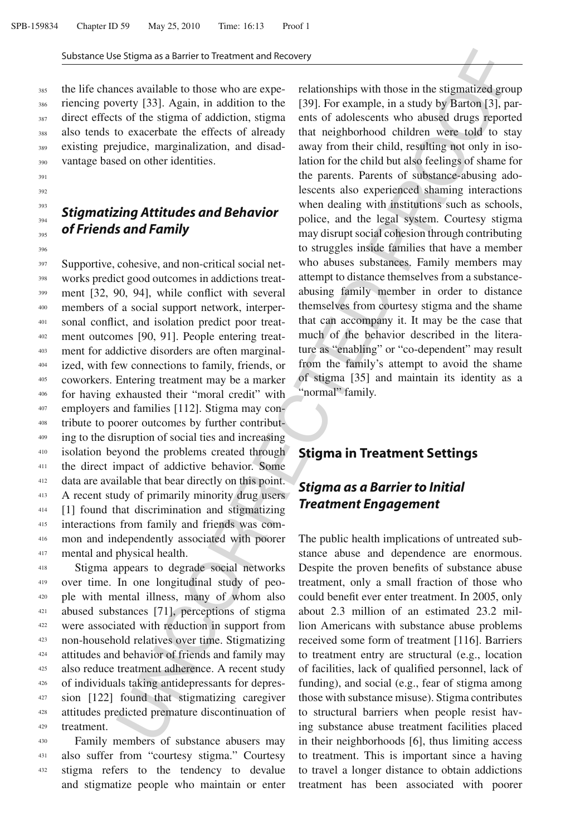385 386 387 388 389 390 the life chances available to those who are experiencing poverty [33]. Again, in addition to the direct effects of the stigma of addiction, stigma also tends to exacerbate the effects of already existing prejudice, marginalization, and disadvantage based on other identities.

#### <span id="page-9-0"></span>393 394 395 *Stigmatizing Attitudes and Behavior of Friends and Family*

391 392

396

397 398 399 400 401 402 403 404 405 406 407 408 409 410 411 412 413 414 415 416 417 Supportive, cohesive, and non-critical social networks predict good outcomes in addictions treatment [\[32,](#page-17-18) [90,](#page-19-12) 94], while conflict with several members of a social support network, interpersonal conflict, and isolation predict poor treatment outcomes [90, 91]. People entering treatment for addictive disorders are often marginalized, with few connections to family, friends, or coworkers. Entering treatment may be a marker for having exhausted their "moral credit" with employers and families [112]. Stigma may contribute to poorer outcomes by further contributing to the disruption of social ties and increasing isolation beyond the problems created through the direct impact of addictive behavior. Some data are available that bear directly on this point. A recent study of primarily minority drug users [\[1\]](#page-17-10) found that discrimination and stigmatizing interactions from family and friends was common and independently associated with poorer mental and physical health.

418 419 420 421 422 423 424 425 426 427 428 429 Stigma appears to degrade social networks over time. In one longitudinal study of people with mental illness, many of whom also abused substances [71], perceptions of stigma were associated with reduction in support from non-household relatives over time. Stigmatizing attitudes and behavior of friends and family may also reduce treatment adherence. A recent study of individuals taking antidepressants for depression [\[122\]](#page-20-15) found that stigmatizing caregiver attitudes predicted premature discontinuation of treatment.

430 431 432 Family members of substance abusers may also suffer from "courtesy stigma." Courtesy stigma refers to the tendency to devalue and stigmatize people who maintain or enter

e Stigma as a Barrier to [T](#page-18-17)restment and Recovery<br>
recet swallable to those who are expected to the 1391. For example, in a study by Earting BJ compare the rest in the 1301. Again, in addition on the 1391 by Every control i relationships with those in the stigmatized group [39]. For example, in a study by Barton [3], parents of adolescents who abused drugs reported that neighborhood children were told to stay away from their child, resulting not only in isolation for the child but also feelings of shame for the parents. Parents of substance-abusing adolescents also experienced shaming interactions when dealing with institutions such as schools, police, and the legal system. Courtesy stigma may disrupt social cohesion through contributing to struggles inside families that have a member who abuses substances. Family members may attempt to distance themselves from a substanceabusing family member in order to distance themselves from courtesy stigma and the shame that can accompany it. It may be the case that much of the behavior described in the literature as "enabling" or "co-dependent" may result from the family's attempt to avoid the shame of stigma [35] and maintain its identity as a "normal" family.

### <span id="page-9-1"></span>**Stigma in Treatment Settings**

# <span id="page-9-2"></span>*Stigma as a Barrier to Initial Treatment Engagement*

The public health implications of untreated substance abuse and dependence are enormous. Despite the proven benefits of substance abuse treatment, only a small fraction of those who could benefit ever enter treatment. In 2005, only about 2.3 million of an estimated 23.2 million Americans with substance abuse problems received some form of treatment [116]. Barriers to treatment entry are structural (e.g., location of facilities, lack of qualified personnel, lack of funding), and social (e.g., fear of stigma among those with substance misuse). Stigma contributes to structural barriers when people resist having substance abuse treatment facilities placed in their neighborhoods [\[6\]](#page-17-20), thus limiting access to treatment. This is important since a having to travel a longer distance to obtain addictions treatment has been associated with poorer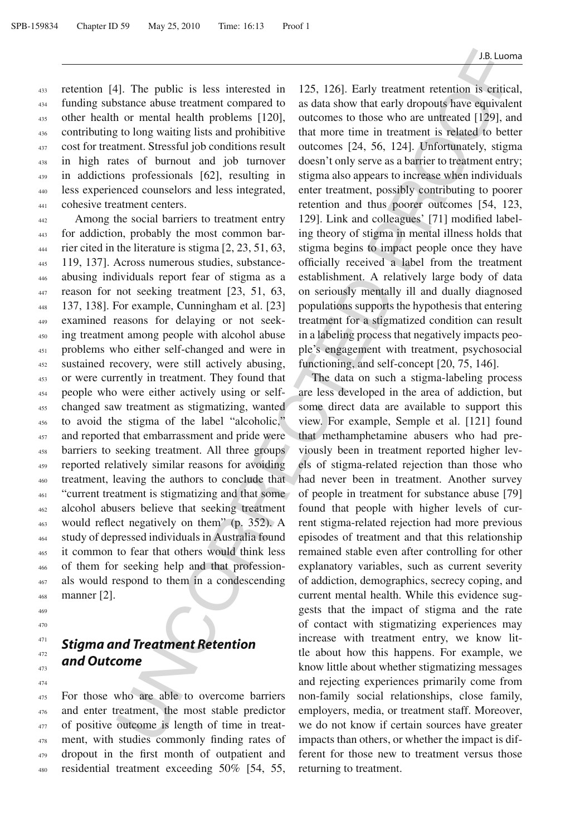433 434 435 436 437 438 439 440 441 retention [\[4\]](#page-17-21). The public is less interested in funding substance abuse treatment compared to other health or mental health problems [120], contributing to long waiting lists and prohibitive cost for treatment. Stressful job conditions result in high rates of burnout and job turnover in addictions professionals [62], resulting in less experienced counselors and less integrated, cohesive treatment centers.

442 443 444 445 446 447 448 449 450 451 452 453 454 455 456 457 458 459 460 461 462 463 464 465 466 467 468 Among the social barriers to treatment entry for addiction, probably the most common barrier cited in the literature is stigma [2, 23, 51, 63, [119,](#page-20-14) [137\]](#page-21-7). Across numerous studies, substanceabusing individuals report fear of stigma as a reason for not seeking treatment [23, 51, 63, [137,](#page-21-7) [138\]](#page-21-8). For example, Cunningham et al. [23] examined reasons for delaying or not seeking treatment among people with alcohol abuse problems who either self-changed and were in sustained recovery, were still actively abusing, or were currently in treatment. They found that people who were either actively using or selfchanged saw treatment as stigmatizing, wanted to avoid the stigma of the label "alcoholic," and reported that embarrassment and pride were barriers to seeking treatment. All three groups reported relatively similar reasons for avoiding treatment, leaving the authors to conclude that "current treatment is stigmatizing and that some alcohol abusers believe that seeking treatment would reflect negatively on them" (p. 352). A study of depressed individuals in Australia found it common to fear that others would think less of them for seeking help and that professionals would respond to them in a condescending manner [\[2\]](#page-17-22).

#### <span id="page-10-0"></span>471 472 473 *Stigma and Treatment Retention and Outcome*

469 470

474

475 476 477 478 479 480 For those who are able to overcome barriers and enter treatment, the most stable predictor of positive outcome is length of time in treatment, with studies commonly finding rates of dropout in the first month of outpatient and residential treatment exceeding 50% [\[54,](#page-18-19) [55,](#page-18-20) 125, 126]. Early treatment retention is critical, as data show that early dropouts have equivalent outcomes to those who are untreated [129], and that more time in treatment is related to better outcomes [24, 56, 124]. Unfortunately, stigma doesn't only serve as a barrier to treatment entry; stigma also appears to increase when individuals enter treatment, possibly contributing to poorer retention and thus poorer outcomes [54, [123,](#page-20-17) 129]. Link and colleagues' [71] modified labeling theory of stigma in mental illness holds that stigma begins to impact people once they have officially received a label from the treatment establishment. A relatively large body of data on seriously mentally ill and dually diagnosed populations supports the hypothesis that entering treatment for a stigmatized condition can result in a labeling process that negatively impacts people's engagement with treatment, psychosocial functioning, and self-concept [20, 75, 146].

UNCORRECTED P[R](#page-19-15)[O](#page-21-16)[O](#page-21-15)F The data on such a stigma-labeling process are less developed in the area of addiction, but some direct data are available to support this view. For example, Semple et al. [121] found that methamphetamine abusers who had previously been in treatment reported higher levels of stigma-related rejection than those who had never been in treatment. Another survey of people in treatment for substance abuse [\[79\]](#page-19-5) found that people with higher levels of current stigma-related rejection had more previous episodes of treatment and that this relationship remained stable even after controlling for other explanatory variables, such as current severity of addiction, demographics, secrecy coping, and current mental health. While this evidence suggests that the impact of stigma and the rate of contact with stigmatizing experiences may increase with treatment entry, we know little about how this happens. For example, we know little about whether stigmatizing messages and rejecting experiences primarily come from non-family social relationships, close family, employers, media, or treatment staff. Moreover, we do not know if certain sources have greater impacts than others, or whether the impact is different for those new to treatment versus those returning to treatment.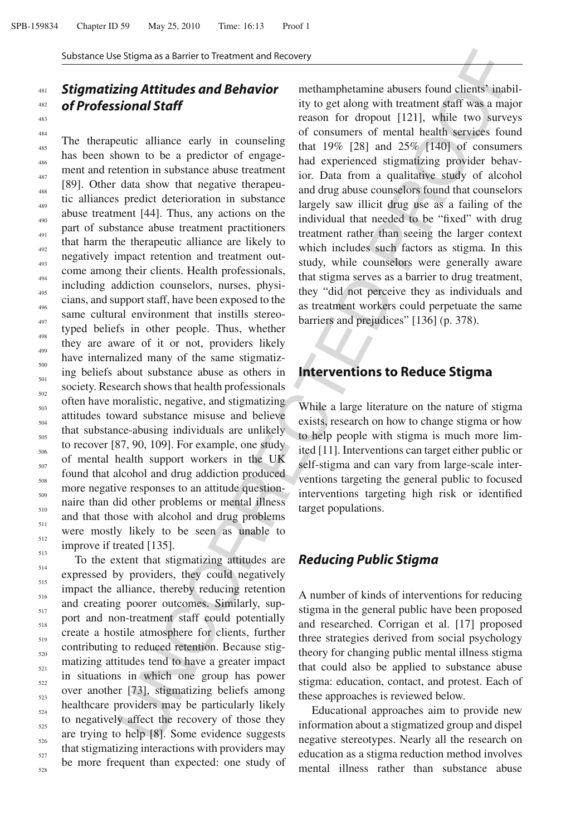#### <span id="page-11-0"></span>481 482 483 *Stigmatizing Attitudes and Behavior of Professional Staff*

e stigma as a Barrier to Trestment and Recovery<br>
estigma as a Barrier to Trestment and Recovery<br>
interval can be the solution of control and the two same<br>
equitare carry in control estimates (the model and the system inte 484 485 486 487 488 489 490 491 492 493 494 495 496 497 498 499 500 501 502 503 504 505 506 507 508 509 510 511 512 513 The therapeutic alliance early in counseling has been shown to be a predictor of engagement and retention in substance abuse treatment [\[89\]](#page-19-16). Other data show that negative therapeutic alliances predict deterioration in substance abuse treatment [44]. Thus, any actions on the part of substance abuse treatment practitioners that harm the therapeutic alliance are likely to negatively impact retention and treatment outcome among their clients. Health professionals, including addiction counselors, nurses, physicians, and support staff, have been exposed to the same cultural environment that instills stereotyped beliefs in other people. Thus, whether they are aware of it or not, providers likely have internalized many of the same stigmatizing beliefs about substance abuse as others in society. Research shows that health professionals often have moralistic, negative, and stigmatizing attitudes toward substance misuse and believe that substance-abusing individuals are unlikely to recover [\[87,](#page-19-17) 90, 109]. For example, one study of mental health support workers in the UK found that alcohol and drug addiction produced more negative responses to an attitude questionnaire than did other problems or mental illness and that those with alcohol and drug problems were mostly likely to be seen as unable to improve if treated [135].

514 515 516 517 518 519 520 521 522 523 524 525 526 527 528 To the extent that stigmatizing attitudes are expressed by providers, they could negatively impact the alliance, thereby reducing retention and creating poorer outcomes. Similarly, support and non-treatment staff could potentially create a hostile atmosphere for clients, further contributing to reduced retention. Because stigmatizing attitudes tend to have a greater impact in situations in which one group has power over another [73], stigmatizing beliefs among healthcare providers may be particularly likely to negatively affect the recovery of those they are trying to help [8]. Some evidence suggests that stigmatizing interactions with providers may be more frequent than expected: one study of methamphetamine abusers found clients' inability to get along with treatment staff was a major reason for dropout [121], while two surveys of consumers of mental health services found that 19% [28] and 25% [140] of consumers had experienced stigmatizing provider behavior. Data from a qualitative study of alcohol and drug abuse counselors found that counselors largely saw illicit drug use as a failing of the individual that needed to be "fixed" with drug treatment rather than seeing the larger context which includes such factors as stigma. In this study, while counselors were generally aware that stigma serves as a barrier to drug treatment, they "did not perceive they as individuals and as treatment workers could perpetuate the same barriers and prejudices" [136] (p. 378).

## <span id="page-11-1"></span>**Interventions to Reduce Stigma**

While a large literature on the nature of stigma exists, research on how to change stigma or how to help people with stigma is much more limited [11]. Interventions can target either public or self-stigma and can vary from large-scale interventions targeting the general public to focused interventions targeting high risk or identified target populations.

## <span id="page-11-2"></span>*Reducing Public Stigma*

A number of kinds of interventions for reducing stigma in the general public have been proposed and researched. Corrigan et al. [17] proposed three strategies derived from social psychology theory for changing public mental illness stigma that could also be applied to substance abuse stigma: education, contact, and protest. Each of these approaches is reviewed below.

Educational approaches aim to provide new information about a stigmatized group and dispel negative stereotypes. Nearly all the research on education as a stigma reduction method involves mental illness rather than substance abuse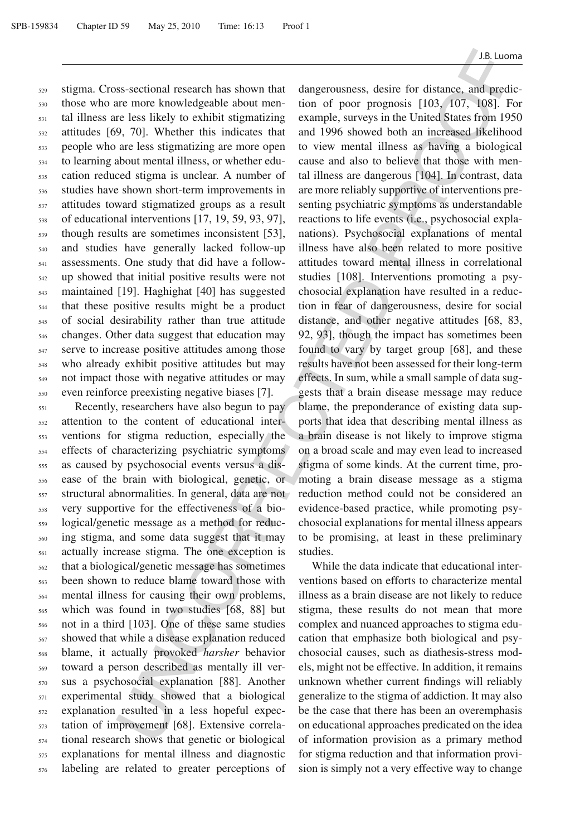529 530 531 532 533 534 535 536 537 538 539 540 541 542 543 544 545 546 547 548 549 550 stigma. Cross-sectional research has shown that those who are more knowledgeable about mental illness are less likely to exhibit stigmatizing attitudes [\[69,](#page-19-6) 70]. Whether this indicates that people who are less stigmatizing are more open to learning about mental illness, or whether education reduced stigma is unclear. A number of studies have shown short-term improvements in attitudes toward stigmatized groups as a result of educational interventions [17, 19, 59, 93, 97], though results are sometimes inconsistent [53], and studies have generally lacked follow-up assessments. One study that did have a followup showed that initial positive results were not maintained [19]. Haghighat [40] has suggested that these positive results might be a product of social desirability rather than true attitude changes. Other data suggest that education may serve to increase positive attitudes among those who already exhibit positive attitudes but may not impact those with negative attitudes or may even reinforce preexisting negative biases [7].

551 552 553 554 555 556 557 558 559 560 561 562 563 564 565 566 567 568 569 570 571 572 573 574 575 576 Recently, researchers have also begun to pay attention to the content of educational interventions for stigma reduction, especially the effects of characterizing psychiatric symptoms as caused by psychosocial events versus a disease of the brain with biological, genetic, or structural abnormalities. In general, data are not very supportive for the effectiveness of a biological/genetic message as a method for reducing stigma, and some data suggest that it may actually increase stigma. The one exception is that a biological/genetic message has sometimes been shown to reduce blame toward those with mental illness for causing their own problems, which was found in two studies [68, 88] but not in a third [103]. One of these same studies showed that while a disease explanation reduced blame, it actually provoked *harsher* behavior toward a person described as mentally ill versus a psychosocial explanation [88]. Another experimental study showed that a biological explanation resulted in a less hopeful expectation of improvement [68]. Extensive correlational research shows that genetic or biological explanations for mental illness and diagnostic labeling are related to greater perceptions of

IS also<br>to se sectional research has shown that dangenousness, desire for distance, and production<br>the more knowledgeable about ment-toon of poor progress in 1085, [F](#page-20-23)or the<br>sile particles in the this distance is the total p dangerousness, desire for distance, and prediction of poor prognosis [103, 107, 108]. For example, surveys in the United States from 1950 and 1996 showed both an increased likelihood to view mental illness as having a biological cause and also to believe that those with mental illness are dangerous [104]. In contrast, data are more reliably supportive of interventions presenting psychiatric symptoms as understandable reactions to life events (i.e., psychosocial explanations). Psychosocial explanations of mental illness have also been related to more positive attitudes toward mental illness in correlational studies [108]. Interventions promoting a psychosocial explanation have resulted in a reduction in fear of dangerousness, desire for social distance, and other negative attitudes [68, [83,](#page-19-22) 92, 93], though the impact has sometimes been found to vary by target group [68], and these results have not been assessed for their long-term effects. In sum, while a small sample of data suggests that a brain disease message may reduce blame, the preponderance of existing data supports that idea that describing mental illness as a brain disease is not likely to improve stigma on a broad scale and may even lead to increased stigma of some kinds. At the current time, promoting a brain disease message as a stigma reduction method could not be considered an evidence-based practice, while promoting psychosocial explanations for mental illness appears to be promising, at least in these preliminary studies.

While the data indicate that educational interventions based on efforts to characterize mental illness as a brain disease are not likely to reduce stigma, these results do not mean that more complex and nuanced approaches to stigma education that emphasize both biological and psychosocial causes, such as diathesis-stress models, might not be effective. In addition, it remains unknown whether current findings will reliably generalize to the stigma of addiction. It may also be the case that there has been an overemphasis on educational approaches predicated on the idea of information provision as a primary method for stigma reduction and that information provision is simply not a very effective way to change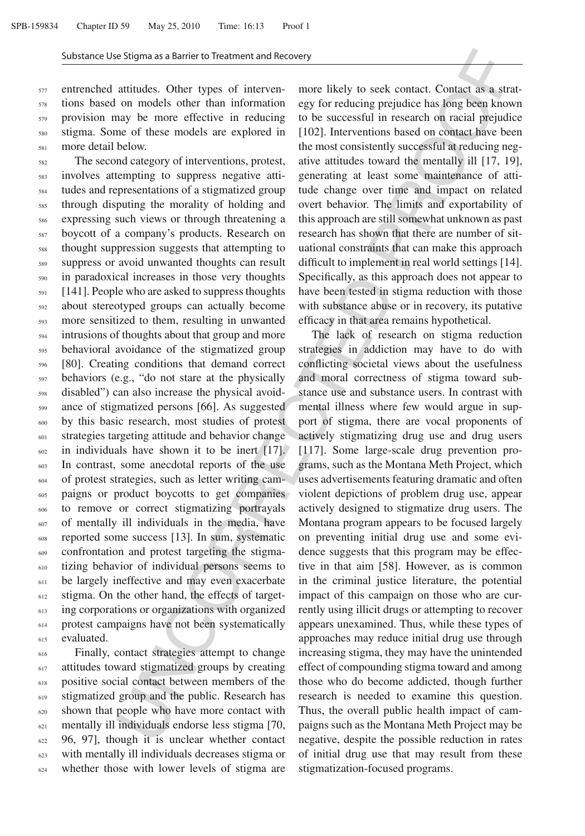577 578 579 580 581 entrenched attitudes. Other types of interventions based on models other than information provision may be more effective in reducing stigma. Some of these models are explored in more detail below.

582 583 584 585 586 587 588 589 590 591 592 593 594 595 596 597 598 599 600 601 602 603 604 605 606 607 608 609 610 611 612 613 614 615 The second category of interventions, protest, involves attempting to suppress negative attitudes and representations of a stigmatized group through disputing the morality of holding and expressing such views or through threatening a boycott of a company's products. Research on thought suppression suggests that attempting to suppress or avoid unwanted thoughts can result in paradoxical increases in those very thoughts [\[141\]](#page-21-10). People who are asked to suppress thoughts about stereotyped groups can actually become more sensitized to them, resulting in unwanted intrusions of thoughts about that group and more behavioral avoidance of the stigmatized group [\[80\]](#page-19-24). Creating conditions that demand correct behaviors (e.g., "do not stare at the physically disabled") can also increase the physical avoidance of stigmatized persons [66]. As suggested by this basic research, most studies of protest strategies targeting attitude and behavior change in individuals have shown it to be inert [17]. In contrast, some anecdotal reports of the use of protest strategies, such as letter writing campaigns or product boycotts to get companies to remove or correct stigmatizing portrayals of mentally ill individuals in the media, have reported some success [13]. In sum, systematic confrontation and protest targeting the stigmatizing behavior of individual persons seems to be largely ineffective and may even exacerbate stigma. On the other hand, the effects of targeting corporations or organizations with organized protest campaigns have not been systematically evaluated.

616 617 618 619 620 621 622 623 624 Finally, contact strategies attempt to change attitudes toward stigmatized groups by creating positive social contact between members of the stigmatized group and the public. Research has shown that people who have more contact with mentally ill individuals endorse less stigma [70, [96,](#page-20-25) [97\]](#page-20-20), though it is unclear whether contact with mentally ill individuals decreases stigma or whether those with lower levels of stigma are more likely to seek contact. Contact as a strategy for reducing prejudice has long been known to be successful in research on racial prejudice [102]. Interventions based on contact have been the most consistently successful at reducing negative attitudes toward the mentally ill [17, [19\]](#page-17-27), generating at least some maintenance of attitude change over time and impact on related overt behavior. The limits and exportability of this approach are still somewhat unknown as past research has shown that there are number of situational constraints that can make this approach difficult to implement in real world settings [\[14\]](#page-17-30). Specifically, as this approach does not appear to have been tested in stigma reduction with those with substance abuse or in recovery, its putative efficacy in that area remains hypothetical.

e Stigma as a Barrier to Testiment and Recovery<br>
attitudes. Other types of interven-<br>
anore likely to seek contact. [C](#page-20-27)ontact as a star<br>
on nodels other this information eigy for reducing prejudice has for a broadbase of th The lack of research on stigma reduction strategies in addiction may have to do with conflicting societal views about the usefulness and moral correctness of stigma toward substance use and substance users. In contrast with mental illness where few would argue in support of stigma, there are vocal proponents of actively stigmatizing drug use and drug users [117]. Some large-scale drug prevention programs, such as the Montana Meth Project, which uses advertisements featuring dramatic and often violent depictions of problem drug use, appear actively designed to stigmatize drug users. The Montana program appears to be focused largely on preventing initial drug use and some evidence suggests that this program may be effective in that aim [58]. However, as is common in the criminal justice literature, the potential impact of this campaign on those who are currently using illicit drugs or attempting to recover appears unexamined. Thus, while these types of approaches may reduce initial drug use through increasing stigma, they may have the unintended effect of compounding stigma toward and among those who do become addicted, though further research is needed to examine this question. Thus, the overall public health impact of campaigns such as the Montana Meth Project may be negative, despite the possible reduction in rates of initial drug use that may result from these stigmatization-focused programs.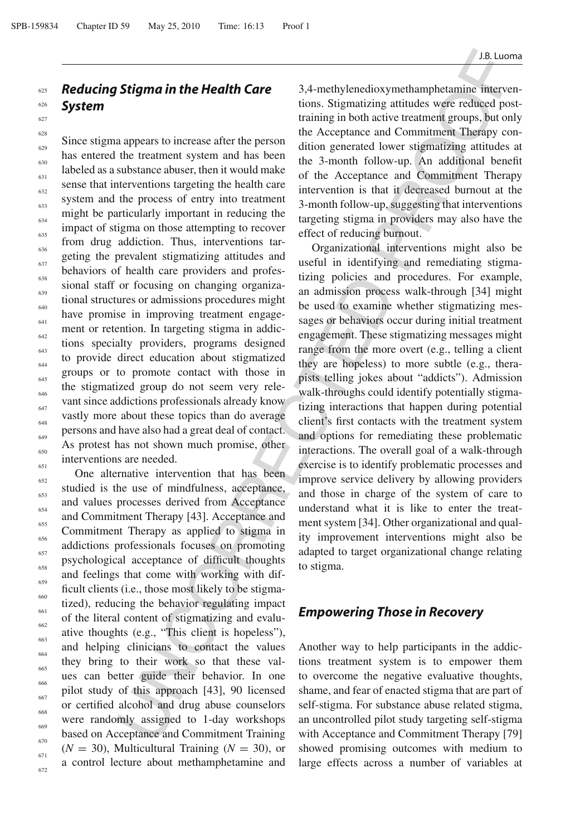### <span id="page-14-0"></span>625 *Reducing Stigma in the Health Care System*

628 629 630 631 632 633 634 635 636 637 638 639 640 641 642 643 644 645 646 647 648 649 650 651 Since stigma appears to increase after the person has entered the treatment system and has been labeled as a substance abuser, then it would make sense that interventions targeting the health care system and the process of entry into treatment might be particularly important in reducing the impact of stigma on those attempting to recover from drug addiction. Thus, interventions targeting the prevalent stigmatizing attitudes and behaviors of health care providers and professional staff or focusing on changing organizational structures or admissions procedures might have promise in improving treatment engagement or retention. In targeting stigma in addictions specialty providers, programs designed to provide direct education about stigmatized groups or to promote contact with those in the stigmatized group do not seem very relevant since addictions professionals already know vastly more about these topics than do average persons and have also had a great deal of contact. As protest has not shown much promise, other interventions are needed.

652 653 654 655 656 657 658 659 660 661 662 663 664 665 666 667 668 669 670 671 672 One alternative intervention that has been studied is the use of mindfulness, acceptance, and values processes derived from Acceptance and Commitment Therapy [43]. Acceptance and Commitment Therapy as applied to stigma in addictions professionals focuses on promoting psychological acceptance of difficult thoughts and feelings that come with working with difficult clients (i.e., those most likely to be stigmatized), reducing the behavior regulating impact of the literal content of stigmatizing and evaluative thoughts (e.g., "This client is hopeless"), and helping clinicians to contact the values they bring to their work so that these values can better guide their behavior. In one pilot study of this approach [43], 90 licensed or certified alcohol and drug abuse counselors were randomly assigned to 1-day workshops based on Acceptance and Commitment Training  $(N = 30)$ , Multicultural Training  $(N = 30)$ , or a control lecture about methamphetamine and 3,4-methylenedioxymethamphetamine interventions. Stigmatizing attitudes were reduced posttraining in both active treatment groups, but only the Acceptance and Commitment Therapy condition generated lower stigmatizing attitudes at the 3-month follow-up. An additional benefit of the Acceptance and Commitment Therapy intervention is that it decreased burnout at the 3-month follow-up, suggesting that interventions targeting stigma in providers may also have the effect of reducing burnout.

**Stigma in the Health Care** 3.4-mabylenedioxynedhamphetanic interventory<br>uspectra to increase after the pressum distinguishing attitudes were reduced as<br>the suggest of increase after the person the Acceptance and Committe Organizational interventions might also be useful in identifying and remediating stigmatizing policies and procedures. For example, an admission process walk-through [34] might be used to examine whether stigmatizing messages or behaviors occur during initial treatment engagement. These stigmatizing messages might range from the more overt (e.g., telling a client they are hopeless) to more subtle (e.g., therapists telling jokes about "addicts"). Admission walk-throughs could identify potentially stigmatizing interactions that happen during potential client's first contacts with the treatment system and options for remediating these problematic interactions. The overall goal of a walk-through exercise is to identify problematic processes and improve service delivery by allowing providers and those in charge of the system of care to understand what it is like to enter the treatment system [34]. Other organizational and quality improvement interventions might also be adapted to target organizational change relating to stigma.

# <span id="page-14-1"></span>*Empowering Those in Recovery*

Another way to help participants in the addictions treatment system is to empower them to overcome the negative evaluative thoughts, shame, and fear of enacted stigma that are part of self-stigma. For substance abuse related stigma, an uncontrolled pilot study targeting self-stigma with Acceptance and Commitment Therapy [\[79\]](#page-19-5) showed promising outcomes with medium to large effects across a number of variables at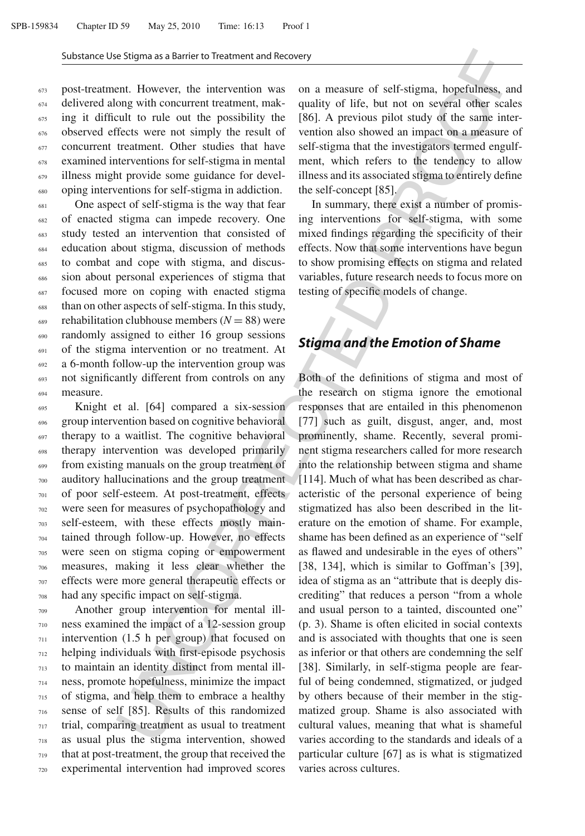673 674 675 676 677 678 679 680 post-treatment. However, the intervention was delivered along with concurrent treatment, making it difficult to rule out the possibility the observed effects were not simply the result of concurrent treatment. Other studies that have examined interventions for self-stigma in mental illness might provide some guidance for developing interventions for self-stigma in addiction.

681 682 683 684 685 686 687 688 689 690 691 692 693 694 One aspect of self-stigma is the way that fear of enacted stigma can impede recovery. One study tested an intervention that consisted of education about stigma, discussion of methods to combat and cope with stigma, and discussion about personal experiences of stigma that focused more on coping with enacted stigma than on other aspects of self-stigma. In this study, rehabilitation clubhouse members  $(N = 88)$  were randomly assigned to either 16 group sessions of the stigma intervention or no treatment. At a 6-month follow-up the intervention group was not significantly different from controls on any measure.

695 696 697 698 699 700 701 702 703 704 705 706 707 708 Knight et al. [64] compared a six-session group intervention based on cognitive behavioral therapy to a waitlist. The cognitive behavioral therapy intervention was developed primarily from existing manuals on the group treatment of auditory hallucinations and the group treatment of poor self-esteem. At post-treatment, effects were seen for measures of psychopathology and self-esteem, with these effects mostly maintained through follow-up. However, no effects were seen on stigma coping or empowerment measures, making it less clear whether the effects were more general therapeutic effects or had any specific impact on self-stigma.

709 710 711 712 713 714 715 716 717 718 719 720 Another group intervention for mental illness examined the impact of a 12-session group intervention (1.5 h per group) that focused on helping individuals with first-episode psychosis to maintain an identity distinct from mental illness, promote hopefulness, minimize the impact of stigma, and help them to embrace a healthy sense of self [85]. Results of this randomized trial, comparing treatment as usual to treatment as usual plus the stigma intervention, showed that at post-treatment, the group that received the experimental intervention had improved scores on a measure of self-stigma, hopefulness, and quality of life, but not on several other scales [86]. A previous pilot study of the same intervention also showed an impact on a measure of self-stigma that the investigators termed engulfment, which refers to the tendency to allow illness and its associated stigma to entirely define the self-concept [85].

In summary, there exist a number of promising interventions for self-stigma, with some mixed findings regarding the specificity of their effects. Now that some interventions have begun to show promising effects on stigma and related variables, future research needs to focus more on testing of specific models of change.

# <span id="page-15-0"></span>*Stigma and the Emotion of Shame*

e Stigma as a Barrier to Trestiment and [R](#page-19-26)ecovery<br>
estigma as a Barrier to Trestiment and Recovery<br>
one with convent treatment, make quality of iffel, but not on several of<br>the scaling out to convent treatment, make qualit Both of the definitions of stigma and most of the research on stigma ignore the emotional responses that are entailed in this phenomenon [77] such as guilt, disgust, anger, and, most prominently, shame. Recently, several prominent stigma researchers called for more research into the relationship between stigma and shame [114]. Much of what has been described as characteristic of the personal experience of being stigmatized has also been described in the literature on the emotion of shame. For example, shame has been defined as an experience of "self as flawed and undesirable in the eyes of others" [38, 134], which is similar to Goffman's [\[39\]](#page-18-0), idea of stigma as an "attribute that is deeply discrediting" that reduces a person "from a whole and usual person to a tainted, discounted one" (p. 3). Shame is often elicited in social contexts and is associated with thoughts that one is seen as inferior or that others are condemning the self [38]. Similarly, in self-stigma people are fearful of being condemned, stigmatized, or judged by others because of their member in the stigmatized group. Shame is also associated with cultural values, meaning that what is shameful varies according to the standards and ideals of a particular culture [\[67\]](#page-19-4) as is what is stigmatized varies across cultures.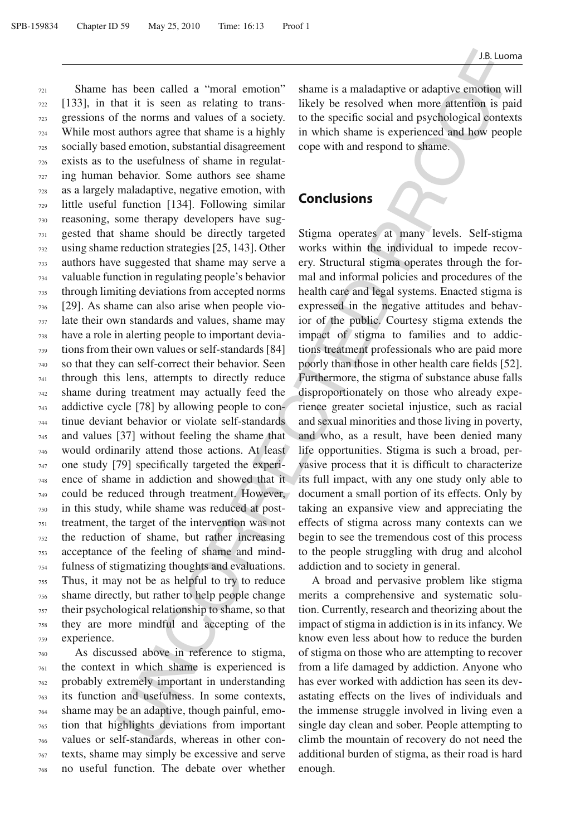The time sected and motions and motions is a maladaptive or adoptive constant in the section with the inserest and reduced and motion in the sected with a more attention is paid to the spectral control in the sected with a 721 722 723 724 725 726 727 728 729 730 731 732 733 734 735 736 737 738 739 740 741 742 743 744 745 746 747 748 749 750 751 752 753 754 755 756 757 758 759 Shame has been called a "moral emotion" [\[133\]](#page-21-21), in that it is seen as relating to transgressions of the norms and values of a society. While most authors agree that shame is a highly socially based emotion, substantial disagreement exists as to the usefulness of shame in regulating human behavior. Some authors see shame as a largely maladaptive, negative emotion, with little useful function [134]. Following similar reasoning, some therapy developers have suggested that shame should be directly targeted using shame reduction strategies [25, 143]. Other authors have suggested that shame may serve a valuable function in regulating people's behavior through limiting deviations from accepted norms [\[29\]](#page-17-32). As shame can also arise when people violate their own standards and values, shame may have a role in alerting people to important deviations from their own values or self-standards [84] so that they can self-correct their behavior. Seen through this lens, attempts to directly reduce shame during treatment may actually feed the addictive cycle [78] by allowing people to continue deviant behavior or violate self-standards and values [37] without feeling the shame that would ordinarily attend those actions. At least one study [\[79\]](#page-19-5) specifically targeted the experience of shame in addiction and showed that it could be reduced through treatment. However, in this study, while shame was reduced at posttreatment, the target of the intervention was not the reduction of shame, but rather increasing acceptance of the feeling of shame and mindfulness of stigmatizing thoughts and evaluations. Thus, it may not be as helpful to try to reduce shame directly, but rather to help people change their psychological relationship to shame, so that they are more mindful and accepting of the experience.

760 761 762 763 764 765 766 767 768 As discussed above in reference to stigma, the context in which shame is experienced is probably extremely important in understanding its function and usefulness. In some contexts, shame may be an adaptive, though painful, emotion that highlights deviations from important values or self-standards, whereas in other contexts, shame may simply be excessive and serve no useful function. The debate over whether shame is a maladaptive or adaptive emotion will likely be resolved when more attention is paid to the specific social and psychological contexts in which shame is experienced and how people cope with and respond to shame.

# <span id="page-16-0"></span>**Conclusions**

Stigma operates at many levels. Self-stigma works within the individual to impede recovery. Structural stigma operates through the formal and informal policies and procedures of the health care and legal systems. Enacted stigma is expressed in the negative attitudes and behavior of the public. Courtesy stigma extends the impact of stigma to families and to addictions treatment professionals who are paid more poorly than those in other health care fields [\[52\]](#page-18-31). Furthermore, the stigma of substance abuse falls disproportionately on those who already experience greater societal injustice, such as racial and sexual minorities and those living in poverty, and who, as a result, have been denied many life opportunities. Stigma is such a broad, pervasive process that it is difficult to characterize its full impact, with any one study only able to document a small portion of its effects. Only by taking an expansive view and appreciating the effects of stigma across many contexts can we begin to see the tremendous cost of this process to the people struggling with drug and alcohol addiction and to society in general.

A broad and pervasive problem like stigma merits a comprehensive and systematic solution. Currently, research and theorizing about the impact of stigma in addiction is in its infancy. We know even less about how to reduce the burden of stigma on those who are attempting to recover from a life damaged by addiction. Anyone who has ever worked with addiction has seen its devastating effects on the lives of individuals and the immense struggle involved in living even a single day clean and sober. People attempting to climb the mountain of recovery do not need the additional burden of stigma, as their road is hard enough.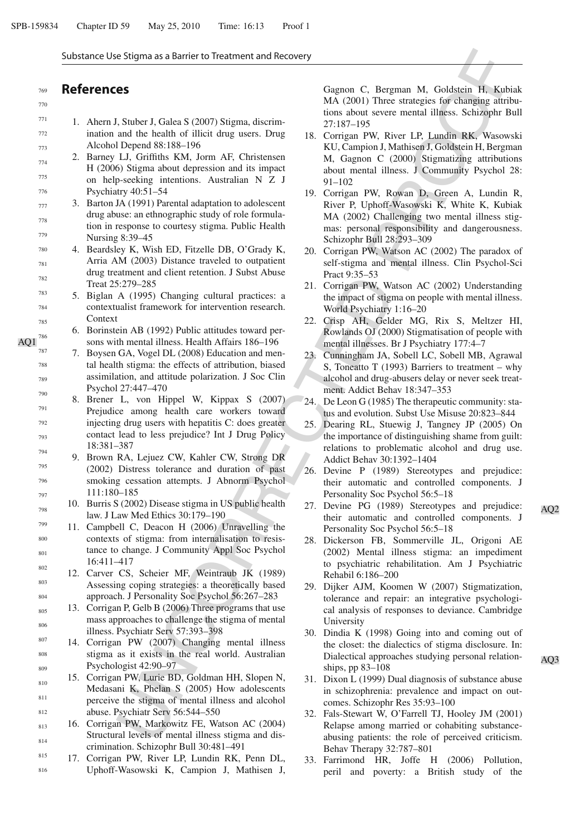#### 769 **References**

<span id="page-17-0"></span>770

- 771 772 773 1. Ahern J, Stuber J, Galea S (2007) Stigma, discrimination and the health of illicit drug users. Drug Alcohol Depend 88:188–196
- <span id="page-17-22"></span><span id="page-17-19"></span><span id="page-17-10"></span>774 775 776 2. Barney LJ, Griffiths KM, Jorm AF, Christensen H (2006) Stigma about depression and its impact on help-seeking intentions. Australian N Z J Psychiatry 40:51–54
	- 3. Barton JA (1991) Parental adaptation to adolescent drug abuse: an ethnographic study of role formulation in response to courtesy stigma. Public Health Nursing 8:39–45
	- 4. Beardsley K, Wish ED, Fitzelle DB, O'Grady K, Arria AM (2003) Distance traveled to outpatient drug treatment and client retention. J Subst Abuse Treat 25:279–285
	- 5. Biglan A (1995) Changing cultural practices: a contextualist framework for intervention research. Context
- <span id="page-17-32"></span><span id="page-17-30"></span><span id="page-17-29"></span><span id="page-17-28"></span><span id="page-17-25"></span><span id="page-17-24"></span><span id="page-17-21"></span><span id="page-17-20"></span><span id="page-17-18"></span><span id="page-17-17"></span><span id="page-17-16"></span><span id="page-17-15"></span><span id="page-17-14"></span><span id="page-17-12"></span><span id="page-17-8"></span><span id="page-17-7"></span><span id="page-17-6"></span><span id="page-17-5"></span><span id="page-17-4"></span><span id="page-17-1"></span>786 787 6. Borinstein AB (1992) Public attitudes toward per-AQ1<sup>1</sup> sons with mental illness. Health Affairs 186–196
	- 7. Boysen GA, Vogel DL (2008) Education and mental health stigma: the effects of attribution, biased assimilation, and attitude polarization. J Soc Clin Psychol 27:447–470
	- 8. Brener L, von Hippel W, Kippax S (2007) Prejudice among health care workers toward injecting drug users with hepatitis C: does greater contact lead to less prejudice? Int J Drug Policy 18:381–387
	- 9. Brown RA, Lejuez CW, Kahler CW, Strong DR (2002) Distress tolerance and duration of past smoking cessation attempts. J Abnorm Psychol 111:180–185
	- 10. Burris S (2002) Disease stigma in US public health law. J Law Med Ethics 30:179–190
	- 11. Campbell C, Deacon H (2006) Unravelling the contexts of stigma: from internalisation to resistance to change. J Community Appl Soc Psychol 16:411–417
	- 12. Carver CS, Scheier MF, Weintraub JK (1989) Assessing coping strategies: a theoretically based approach. J Personality Soc Psychol 56:267–283
	- 13. Corrigan P, Gelb B (2006) Three programs that use mass approaches to challenge the stigma of mental illness. Psychiatr Serv 57:393–398
	- 14. Corrigan PW (2007) Changing mental illness stigma as it exists in the real world. Australian Psychologist 42:90–97
	- 810 811 812 15. Corrigan PW, Lurie BD, Goldman HH, Slopen N, Medasani K, Phelan S (2005) How adolescents perceive the stigma of mental illness and alcohol abuse. Psychiatr Serv 56:544–550
	- 813 814 16. Corrigan PW, Markowitz FE, Watson AC (2004) Structural levels of mental illness stigma and discrimination. Schizophr Bull 30:481–491
	- 815 816 17. Corrigan PW, River LP, Lundin RK, Penn DL, Uphoff-Wasowski K, Campion J, Mathisen J,

Gagnon C, Bergman M, Goldstein H, Kubiak MA (2001) Three strategies for changing attributions about severe mental illness. Schizophr Bull 27:187–195

- <span id="page-17-31"></span><span id="page-17-27"></span><span id="page-17-26"></span><span id="page-17-23"></span><span id="page-17-13"></span><span id="page-17-11"></span><span id="page-17-9"></span><span id="page-17-3"></span><span id="page-17-2"></span>18. Corrigan PW, River LP, Lundin RK, Wasowski KU, Campion J, Mathisen J, Goldstein H, Bergman M, Gagnon C (2000) Stigmatizing attributions about mental illness. J Community Psychol 28: 91–102
- e Stigma as a Barrier to Testiment and Recovery<br>
Such 2001) Three structures for Schemes F. Schemes F. Schemes F. Schemes F. Schemes F. Schemes F. Schemes F. Schemes F. Schemes F. Schemes F. Schemes F. Schemes F. Schemes 19. Corrigan PW, Rowan D, Green A, Lundin R, River P, Uphoff-Wasowski K, White K, Kubiak MA (2002) Challenging two mental illness stigmas: personal responsibility and dangerousness. Schizophr Bull 28:293–309
	- 20. Corrigan PW, Watson AC (2002) The paradox of self-stigma and mental illness. Clin Psychol-Sci Pract 9:35–53
	- 21. Corrigan PW, Watson AC (2002) Understanding the impact of stigma on people with mental illness. World Psychiatry 1:16–20
	- 22. Crisp AH, Gelder MG, Rix S, Meltzer HI, Rowlands OJ (2000) Stigmatisation of people with mental illnesses. Br J Psychiatry 177:4–7
	- 23. Cunningham JA, Sobell LC, Sobell MB, Agrawal S, Toneatto T (1993) Barriers to treatment – why alcohol and drug-abusers delay or never seek treatment. Addict Behav 18:347–353
	- 24. De Leon G (1985) The therapeutic community: status and evolution. Subst Use Misuse 20:823–844
	- 25. Dearing RL, Stuewig J, Tangney JP (2005) On the importance of distinguishing shame from guilt: relations to problematic alcohol and drug use. Addict Behav 30:1392–1404
	- 26. Devine P (1989) Stereotypes and prejudice: their automatic and controlled components. J Personality Soc Psychol 56:5–18
	- 27. Devine PG (1989) Stereotypes and prejudice: AQ2 their automatic and controlled components. J Personality Soc Psychol 56:5–18
	- 28. Dickerson FB, Sommerville JL, Origoni AE (2002) Mental illness stigma: an impediment to psychiatric rehabilitation. Am J Psychiatric Rehabil 6:186–200
	- 29. Dijker AJM, Koomen W (2007) Stigmatization, tolerance and repair: an integrative psychological analysis of responses to deviance. Cambridge University
	- 30. Dindia K (1998) Going into and coming out of the closet: the dialectics of stigma disclosure. In: Dialectical approaches studying personal relation-<br>ships, pp 83–108
	- 31. Dixon L (1999) Dual diagnosis of substance abuse in schizophrenia: prevalence and impact on outcomes. Schizophr Res 35:93–100
	- 32. Fals-Stewart W, O'Farrell TJ, Hooley JM (2001) Relapse among married or cohabiting substanceabusing patients: the role of perceived criticism. Behav Therapy 32:787–801
	- 33. Farrimond HR, Joffe H (2006) Pollution, peril and poverty: a British study of the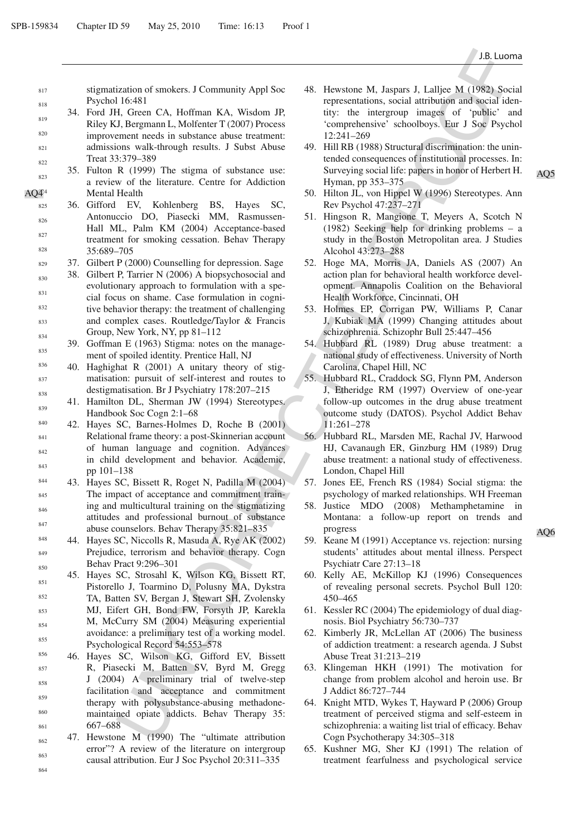<span id="page-18-15"></span><span id="page-18-13"></span><span id="page-18-6"></span><span id="page-18-4"></span>864

<span id="page-18-27"></span><span id="page-18-17"></span><span id="page-18-14"></span><span id="page-18-9"></span>

|                                                                                                     | J.B. Luom                                                                                                |
|-----------------------------------------------------------------------------------------------------|----------------------------------------------------------------------------------------------------------|
|                                                                                                     |                                                                                                          |
| stigmatization of smokers. J Community Appl Soc<br>Psychol 16:481                                   | 48. Hewstone M, Jaspars J, Lalljee M (1982) Soci<br>representations, social attribution and social idea  |
| 34. Ford JH, Green CA, Hoffman KA, Wisdom JP,<br>Riley KJ, Bergmann L, Molfenter T (2007) Process   | tity: the intergroup images of 'public' are<br>'comprehensive' schoolboys. Eur J Soc Psych<br>12:241-269 |
| improvement needs in substance abuse treatment:<br>admissions walk-through results. J Subst Abuse   | 49. Hill RB (1988) Structural discrimination: the unit                                                   |
| Treat 33:379–389                                                                                    | tended consequences of institutional processes. I                                                        |
| 35. Fulton R (1999) The stigma of substance use:                                                    | Surveying social life: papers in honor of Herbert I                                                      |
| a review of the literature. Centre for Addiction                                                    | Hyman, pp 353-375                                                                                        |
| Mental Health<br>36. Gifford EV, Kohlenberg BS, Hayes SC,                                           | 50. Hilton JL, von Hippel W (1996) Stereotypes. An<br>Rev Psychol 47:237-271                             |
| Antonuccio DO, Piasecki MM, Rasmussen-                                                              | 51. Hingson R, Mangione T, Meyers A, Scotch                                                              |
| Hall ML, Palm KM (2004) Acceptance-based                                                            | (1982) Seeking help for drinking problems -                                                              |
| treatment for smoking cessation. Behav Therapy                                                      | study in the Boston Metropolitan area. J Studio                                                          |
| 35:689-705<br>37. Gilbert P (2000) Counselling for depression. Sage                                 | Alcohol 43:273-288<br>52. Hoge MA, Morris JA, Daniels AS (2007) A                                        |
| 38. Gilbert P, Tarrier N (2006) A biopsychosocial and                                               | action plan for behavioral health workforce deve                                                         |
| evolutionary approach to formulation with a spe-                                                    | opment. Annapolis Coalition on the Behavior                                                              |
| cial focus on shame. Case formulation in cogni-                                                     | Health Workforce, Cincinnati, OH                                                                         |
| tive behavior therapy: the treatment of challenging                                                 | 53. Holmes EP, Corrigan PW, Williams P, Can                                                              |
| and complex cases. Routledge/Taylor & Francis<br>Group, New York, NY, pp 81–112                     | J, Kubiak MA (1999) Changing attitudes abo<br>schizophrenia. Schizophr Bull 25:447-456                   |
| 39. Goffman E (1963) Stigma: notes on the manage-                                                   | 54. Hubbard RL (1989) Drug abuse treatment:                                                              |
| ment of spoiled identity. Prentice Hall, NJ                                                         | national study of effectiveness. University of Nor                                                       |
| 40. Haghighat R (2001) A unitary theory of stig-                                                    | Carolina, Chapel Hill, NC                                                                                |
| matisation: pursuit of self-interest and routes to                                                  | 55. Hubbard RL, Craddock SG, Flynn PM, Anderso                                                           |
| destigmatisation. Br J Psychiatry 178:207-215<br>41. Hamilton DL, Sherman JW (1994) Stereotypes.    | J, Etheridge RM (1997) Overview of one-ye<br>follow-up outcomes in the drug abuse treatme                |
| Handbook Soc Cogn 2:1–68                                                                            | outcome study (DATOS). Psychol Addict Beha                                                               |
| 42. Hayes SC, Barnes-Holmes D, Roche B (2001)                                                       | 11:261-278                                                                                               |
| Relational frame theory: a post-Skinnerian account                                                  | 56. Hubbard RL, Marsden ME, Rachal JV, Harwoo                                                            |
| of human language and cognition. Advances                                                           | HJ, Cavanaugh ER, Ginzburg HM (1989) Dru                                                                 |
| in child development and behavior. Academic,<br>pp 101-138                                          | abuse treatment: a national study of effectivenes<br>London, Chapel Hill                                 |
| 43. Hayes SC, Bissett R, Roget N, Padilla M (2004)                                                  | 57. Jones EE, French RS (1984) Social stigma: the                                                        |
| The impact of acceptance and commitment train-                                                      | psychology of marked relationships. WH Freema                                                            |
| ing and multicultural training on the stigmatizing                                                  | 58. Justice MDO (2008) Methamphetamine                                                                   |
| attitudes and professional burnout of substance<br>abuse counselors. Behav Therapy 35:821-835       | Montana: a follow-up report on trends are                                                                |
| 44. Hayes SC, Niccolls R, Masuda A, Rye AK (2002)                                                   | progress<br>59. Keane M (1991) Acceptance vs. rejection: nursir                                          |
| Prejudice, terrorism and behavior therapy. Cogn                                                     | students' attitudes about mental illness. Perspe                                                         |
| Behav Pract 9:296-301                                                                               | Psychiatr Care 27:13-18                                                                                  |
| 45. Hayes SC, Strosahl K, Wilson KG, Bissett RT,                                                    | 60. Kelly AE, McKillop KJ (1996) Consequence                                                             |
| Pistorello J, Toarmino D, Polusny MA, Dykstra<br>TA, Batten SV, Bergan J, Stewart SH, Zvolensky     | of revealing personal secrets. Psychol Bull 12<br>450-465                                                |
| MJ, Eifert GH, Bond FW, Forsyth JP, Karekla                                                         | 61. Kessler RC (2004) The epidemiology of dual dia                                                       |
| M, McCurry SM (2004) Measuring experiential                                                         | nosis. Biol Psychiatry 56:730-737                                                                        |
| avoidance: a preliminary test of a working model.                                                   | 62. Kimberly JR, McLellan AT (2006) The busine                                                           |
| Psychological Record 54:553-578                                                                     | of addiction treatment: a research agenda. J Sub                                                         |
| 46. Hayes SC, Wilson KG, Gifford EV, Bissett                                                        | Abuse Treat 31:213-219                                                                                   |
| R, Piasecki M, Batten SV, Byrd M, Gregg<br>J (2004) A preliminary trial of twelve-step              | 63. Klingeman HKH (1991) The motivation for<br>change from problem alcohol and heroin use. I             |
| facilitation and acceptance and commitment                                                          | J Addict 86:727-744                                                                                      |
| therapy with polysubstance-abusing methadone-                                                       | 64. Knight MTD, Wykes T, Hayward P (2006) Grou                                                           |
| maintained opiate addicts. Behav Therapy 35:                                                        | treatment of perceived stigma and self-esteem                                                            |
| 667-688                                                                                             | schizophrenia: a waiting list trial of efficacy. Beha                                                    |
| 47. Hewstone M (1990) The "ultimate attribution<br>error"? A review of the literature on intergroup | Cogn Psychotherapy 34:305-318<br>65. Kushner MG, Sher KJ (1991) The relation                             |
| causal attribution. Eur J Soc Psychol 20:311-335                                                    | treatment fearfulness and psychological service                                                          |
|                                                                                                     |                                                                                                          |

| 48. Hewstone M, Jaspars J, Lalliee M (1982) Social   |
|------------------------------------------------------|
| representations, social attribution and social iden- |
| tity: the intergroup images of 'public' and          |
| 'comprehensive' schoolboys. Eur J Soc Psychol        |
| $12:241 - 269$                                       |

- <span id="page-18-7"></span>49. Hill RB (1988) Structural discrimination: the unintended consequences of institutional processes. In: Surveying social life: papers in honor of Herbert H. AQ5 Hyman, pp 353–375
- <span id="page-18-8"></span>50. Hilton JL, von Hippel W (1996) Stereotypes. Ann Rev Psychol 47:237–271
- <span id="page-18-5"></span>51. Hingson R, Mangione T, Meyers A, Scotch N (1982) Seeking help for drinking problems – a study in the Boston Metropolitan area. J Studies Alcohol 43:273–288
- <span id="page-18-30"></span><span id="page-18-10"></span>52. Hoge MA, Morris JA, Daniels AS (2007) An action plan for behavioral health workforce development. Annapolis Coalition on the Behavioral Health Workforce, Cincinnati, OH
- <span id="page-18-31"></span>53. Holmes EP, Corrigan PW, Williams P, Canar J, Kubiak MA (1999) Changing attitudes about schizophrenia. Schizophr Bull 25:447–456
- <span id="page-18-29"></span><span id="page-18-23"></span><span id="page-18-0"></span>54. Hubbard RL (1989) Drug abuse treatment: a national study of effectiveness. University of North Carolina, Chapel Hill, NC
- <span id="page-18-24"></span><span id="page-18-19"></span>55. Hubbard RL, Craddock SG, Flynn PM, Anderson J, Etheridge RM (1997) Overview of one-year follow-up outcomes in the drug abuse treatment outcome study (DATOS). Psychol Addict Behav 11:261–278
- <span id="page-18-20"></span><span id="page-18-3"></span>56. Hubbard RL, Marsden ME, Rachal JV, Harwood HJ, Cavanaugh ER, Ginzburg HM (1989) Drug abuse treatment: a national study of effectiveness. London, Chapel Hill
- <span id="page-18-21"></span><span id="page-18-2"></span>57. Jones EE, French RS (1984) Social stigma: the psychology of marked relationships. WH Freeman
- <span id="page-18-26"></span><span id="page-18-1"></span>58. Justice MDO (2008) Methamphetamine in Montana: a follow-up report on trends and progress AQ6 59. Keane M (1991) Acceptance vs. rejection: nursing
- <span id="page-18-25"></span>students' attitudes about mental illness. Perspect Psychiatr Care 27:13–18
- <span id="page-18-22"></span>60. Kelly AE, McKillop KJ (1996) Consequences of revealing personal secrets. Psychol Bull 120: 450–465
- <span id="page-18-12"></span>61. Kessler RC (2004) The epidemiology of dual diagnosis. Biol Psychiatry 56:730–737
- <span id="page-18-16"></span>62. Kimberly JR, McLellan AT (2006) The business of addiction treatment: a research agenda. J Subst Abuse Treat 31:213–219
- <span id="page-18-18"></span>63. Klingeman HKH (1991) The motivation for change from problem alcohol and heroin use. Br J Addict 86:727–744
- <span id="page-18-11"></span>64. Knight MTD, Wykes T, Hayward P (2006) Group treatment of perceived stigma and self-esteem in schizophrenia: a waiting list trial of efficacy. Behav Cogn Psychotherapy 34:305–318
- <span id="page-18-28"></span>65. Kushner MG, Sher KJ (1991) The relation of treatment fearfulness and psychological service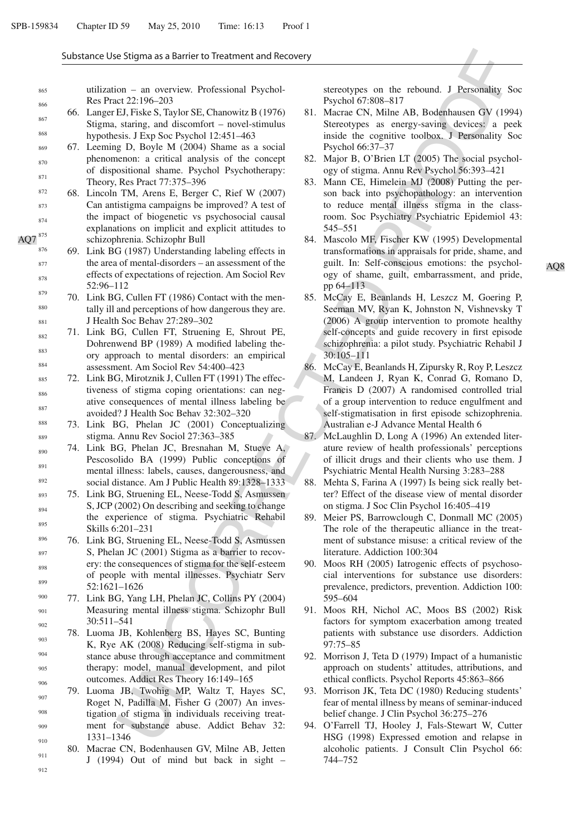<span id="page-19-7"></span>

| 865 | utilization - an overview. Professional Psychol-      |
|-----|-------------------------------------------------------|
| 866 | Res Pract 22:196-203                                  |
|     | 66. Langer EJ, Fiske S, Taylor SE, Chanowitz B (1976) |
| 867 | Stigma, staring, and discomfort – novel-stimulus      |
| 868 | hypothesis. J Exp Soc Psychol 12:451–463              |
| 869 | 67. Leeming D, Boyle M (2004) Shame as a social       |
|     |                                                       |

<span id="page-19-25"></span>870 871 877 phenomenon: a critical analysis of the concept of dispositional shame. Psychol Psychotherapy: Theory, Res Pract 77:375–396

68. Lincoln TM, Arens E, Berger C, Rief W (2007) Can antistigma campaigns be improved? A test of the impact of biogenetic vs psychosocial causal explanations on implicit and explicit attitudes to AQ7<sup>873</sup> schizophrenia. Schizophr Bull

<span id="page-19-4"></span>873 874 875

<span id="page-19-11"></span>888 889

- <span id="page-19-20"></span><span id="page-19-6"></span>876 877 878 879 69. Link BG (1987) Understanding labeling effects in the area of mental-disorders – an assessment of the effects of expectations of rejection. Am Sociol Rev 52:96–112
	- 70. Link BG, Cullen FT (1986) Contact with the mentally ill and perceptions of how dangerous they are. J Health Soc Behav 27:289–302
	- 71. Link BG, Cullen FT, Struening E, Shrout PE, Dohrenwend BP (1989) A modified labeling theory approach to mental disorders: an empirical assessment. Am Sociol Rev 54:400–423
- <span id="page-19-18"></span><span id="page-19-15"></span>885 886 887 72. Link BG, Mirotznik J, Cullen FT (1991) The effectiveness of stigma coping orientations: can negative consequences of mental illness labeling be avoided? J Health Soc Behav 32:302–320
	- 73. Link BG, Phelan JC (2001) Conceptualizing stigma. Annu Rev Sociol 27:363–385
- <span id="page-19-16"></span><span id="page-19-8"></span><span id="page-19-1"></span><span id="page-19-0"></span>890 891 892 74. Link BG, Phelan JC, Bresnahan M, Stueve A, Pescosolido BA (1999) Public conceptions of mental illness: labels, causes, dangerousness, and social distance. Am J Public Health 89:1328–1333
	- 75. Link BG, Struening EL, Neese-Todd S, Asmussen S, JCP (2002) On describing and seeking to change the experience of stigma. Psychiatric Rehabil Skills 6:201–231
	- 76. Link BG, Struening EL, Neese-Todd S, Asmussen S, Phelan JC (2001) Stigma as a barrier to recovery: the consequences of stigma for the self-esteem of people with mental illnesses. Psychiatr Serv 52:1621–1626
	- 77. Link BG, Yang LH, Phelan JC, Collins PY (2004) Measuring mental illness stigma. Schizophr Bull 30:511–541
	- 78. Luoma JB, Kohlenberg BS, Hayes SC, Bunting K, Rye AK (2008) Reducing self-stigma in substance abuse through acceptance and commitment therapy: model, manual development, and pilot outcomes. Addict Res Theory 16:149–165
- <span id="page-19-28"></span><span id="page-19-23"></span><span id="page-19-14"></span><span id="page-19-12"></span><span id="page-19-9"></span><span id="page-19-3"></span>906 907  $90s$ 909 910 79. Luoma JB, Twohig MP, Waltz T, Hayes SC, Roget N, Padilla M, Fisher G (2007) An investigation of stigma in individuals receiving treatment for substance abuse. Addict Behav 32: 1331–1346
- <span id="page-19-19"></span><span id="page-19-13"></span><span id="page-19-5"></span>911 912 80. Macrae CN, Bodenhausen GV, Milne AB, Jetten J (1994) Out of mind but back in sight –

<span id="page-19-24"></span>stereotypes on the rebound. J Personality Soc Psychol 67:808–817

- 81. Macrae CN, Milne AB, Bodenhausen GV (1994) Stereotypes as energy-saving devices: a peek inside the cognitive toolbox. J Personality Soc Psychol 66:37–37
- <span id="page-19-2"></span>82. Major B, O'Brien LT (2005) The social psychology of stigma. Annu Rev Psychol 56:393–421
- <span id="page-19-10"></span>83. Mann CE, Himelein MJ (2008) Putting the person back into psychopathology: an intervention to reduce mental illness stigma in the classroom. Soc Psychiatry Psychiatric Epidemiol 43: 545–551
- <span id="page-19-29"></span><span id="page-19-27"></span><span id="page-19-26"></span><span id="page-19-22"></span><span id="page-19-21"></span><span id="page-19-17"></span>84. Mascolo MF, Fischer KW (1995) Developmental transformations in appraisals for pride, shame, and guilt. In: Self-conscious emotions: the psychol-<br>ogy of shame, guilt, embarrassment, and pride, pp 64–113
- e Stigma as a Barrier to Texturent and Recovery<br>
2013 and the reduction of the reduction of the reduction of the reduction of the reduction of the reduction of the reduction of the reduction of the reduction of the reduct 85. McCay E, Beanlands H, Leszcz M, Goering P, Seeman MV, Ryan K, Johnston N, Vishnevsky T (2006) A group intervention to promote healthy self-concepts and guide recovery in first episode schizophrenia: a pilot study. Psychiatric Rehabil J 30:105–111
	- 86. McCay E, Beanlands H, Zipursky R, Roy P, Leszcz M, Landeen J, Ryan K, Conrad G, Romano D, Francis D (2007) A randomised controlled trial of a group intervention to reduce engulfment and self-stigmatisation in first episode schizophrenia. Australian e-J Advance Mental Health 6
	- 87. McLaughlin D, Long A (1996) An extended literature review of health professionals' perceptions of illicit drugs and their clients who use them. J Psychiatric Mental Health Nursing 3:283–288
	- 88. Mehta S, Farina A (1997) Is being sick really better? Effect of the disease view of mental disorder on stigma. J Soc Clin Psychol 16:405–419
	- 89. Meier PS, Barrowclough C, Donmall MC (2005) The role of the therapeutic alliance in the treatment of substance misuse: a critical review of the literature. Addiction 100:304
	- 90. Moos RH (2005) Iatrogenic effects of psychosocial interventions for substance use disorders: prevalence, predictors, prevention. Addiction 100: 595–604
	- 91. Moos RH, Nichol AC, Moos BS (2002) Risk factors for symptom exacerbation among treated patients with substance use disorders. Addiction 97:75–85
	- 92. Morrison J, Teta D (1979) Impact of a humanistic approach on students' attitudes, attributions, and ethical conflicts. Psychol Reports 45:863–866
	- 93. Morrison JK, Teta DC (1980) Reducing students' fear of mental illness by means of seminar-induced belief change. J Clin Psychol 36:275–276
	- 94. O'Farrell TJ, Hooley J, Fals-Stewart W, Cutter HSG (1998) Expressed emotion and relapse in alcoholic patients. J Consult Clin Psychol 66: 744–752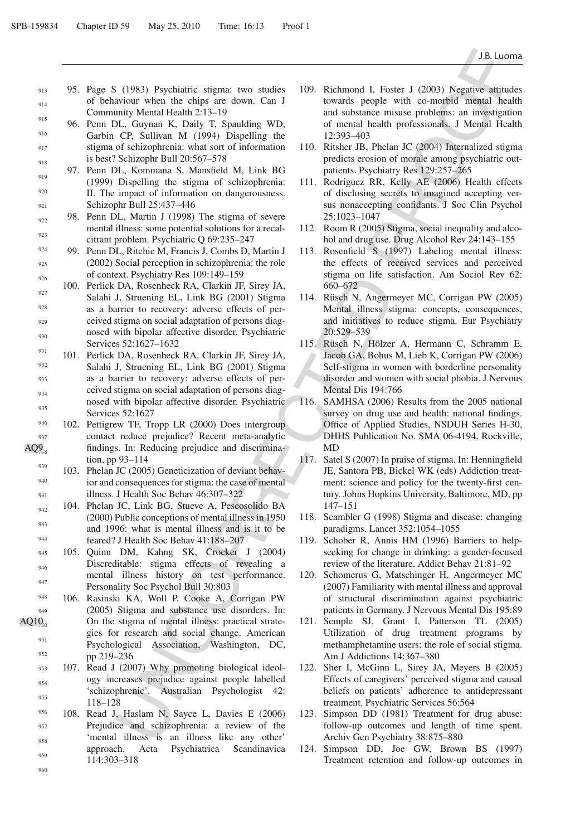- 913 914 915 95. Page S (1983) Psychiatric stigma: two studies of behaviour when the chips are down. Can J Community Mental Health 2:13–19
- <span id="page-20-2"></span>916 917 918 96. Penn DL, Guynan K, Daily T, Spaulding WD, Garbin CP, Sullivan M (1994) Dispelling the stigma of schizophrenia: what sort of information is best? Schizophr Bull 20:567–578
- <span id="page-20-25"></span>919  $920$ 921 97. Penn DL, Kommana S, Mansfield M, Link BG (1999) Dispelling the stigma of schizophrenia: II. The impact of information on dangerousness. Schizophr Bull 25:437–446
- <span id="page-20-20"></span>922 923 98. Penn DL, Martin J (1998) The stigma of severe mental illness: some potential solutions for a recalcitrant problem. Psychiatric Q 69:235–247
- <span id="page-20-3"></span>924 925 926 99. Penn DL, Ritchie M, Francis J, Combs D, Martin J (2002) Social perception in schizophrenia: the role of context. Psychiatry Res 109:149–159
- <span id="page-20-4"></span>927 928 929 930 931 100. Perlick DA, Rosenheck RA, Clarkin JF, Sirey JA, Salahi J, Struening EL, Link BG (2001) Stigma as a barrier to recovery: adverse effects of perceived stigma on social adaptation of persons diagnosed with bipolar affective disorder. Psychiatric Services 52:1627–1632
- <span id="page-20-9"></span>932 933 934 935 101. Perlick DA, Rosenheck RA, Clarkin JF, Sirey JA, Salahi J, Struening EL, Link BG (2001) Stigma as a barrier to recovery: adverse effects of perceived stigma on social adaptation of persons diagnosed with bipolar affective disorder. Psychiatric Services 52:1627
- <span id="page-20-5"></span>936 937  $AQ9_{38}$ 939 102. Pettigrew TF, Tropp LR (2000) Does intergroup contact reduce prejudice? Recent meta-analytic findings. In: Reducing prejudice and discrimination, pp 93–114

<span id="page-20-26"></span>103. Phelan JC (2005) Geneticization of deviant behavior and consequences for stigma: the case of mental illness. J Health Soc Behav 46:307–322

940 941

- <span id="page-20-21"></span>942 943 944 104. Phelan JC, Link BG, Stueve A, Pescosolido BA (2000) Public conceptions of mental illness in 1950 and 1996: what is mental illness and is it to be feared? J Health Soc Behav 41:188–207
- <span id="page-20-24"></span><span id="page-20-11"></span>945 946 947 105. Quinn DM, Kahng SK, Crocker J (2004) Discreditable: stigma effects of revealing a mental illness history on test performance. Personality Soc Psychol Bull 30:803

948 949  $\text{AQ10}_{30}$ 951 952 106. Rasinski KA, Woll P, Cooke A, Corrigan PW (2005) Stigma and substance use disorders. In: On the stigma of mental illness: practical strategies for research and social change. American Psychological Association, Washington, DC, pp 219–236

- <span id="page-20-18"></span><span id="page-20-1"></span><span id="page-20-0"></span>953 954 955 107. Read J (2007) Why promoting biological ideology increases prejudice against people labelled 'schizophrenic'. Australian Psychologist 42: 118–128
- <span id="page-20-23"></span><span id="page-20-22"></span><span id="page-20-17"></span><span id="page-20-15"></span>956 957 958 959 960 108. Read J, Haslam N, Sayce L, Davies E (2006) Prejudice and schizophrenia: a review of the 'mental illness is an illness like any other' approach. Acta Psychiatrica Scandinavica 114:303–318
- 109. Richmond I, Foster J (2003) Negative attitudes towards people with co-morbid mental health and substance misuse problems: an investigation of mental health professionals. J Mental Health 12:393–403
- <span id="page-20-19"></span>110. Ritsher JB, Phelan JC (2004) Internalized stigma predicts erosion of morale among psychiatric outpatients. Psychiatry Res 129:257–265
- <span id="page-20-10"></span>111. Rodriguez RR, Kelly AE (2006) Health effects of disclosing secrets to imagined accepting versus nonaccepting confidants. J Soc Clin Psychol 25:1023–1047
- <span id="page-20-12"></span>112. Room R (2005) Stigma, social inequality and alcohol and drug use. Drug Alcohol Rev 24:143–155
- <span id="page-20-8"></span>113. Rosenfield S (1997) Labeling mental illness: the effects of received services and perceived stigma on life satisfaction. Am Sociol Rev 62: 660–672
- <span id="page-20-28"></span><span id="page-20-27"></span><span id="page-20-16"></span><span id="page-20-14"></span><span id="page-20-13"></span><span id="page-20-7"></span><span id="page-20-6"></span>114. Rüsch N, Angermeyer MC, Corrigan PW (2005) Mental illness stigma: concepts, consequences, and initiatives to reduce stigma. Eur Psychiatry 20:529–539
- (1983) Psychiatric stigma reachi of the state of the state of the state of the state of the state of the state of the state of the state of the state of the state of the state of the state of the state of the state of the 115. Rüsch N, Hölzer A, Hermann C, Schramm E, Jacob GA, Bohus M, Lieb K, Corrigan PW (2006) Self-stigma in women with borderline personality disorder and women with social phobia. J Nervous Mental Dis 194:766
	- 116. SAMHSA (2006) Results from the 2005 national survey on drug use and health: national findings. Office of Applied Studies, NSDUH Series H-30, DHHS Publication No. SMA 06-4194, Rockville, MD
	- 117. Satel S (2007) In praise of stigma. In: Henningfield JE, Santora PB, Bickel WK (eds) Addiction treatment: science and policy for the twenty-first century. Johns Hopkins University, Baltimore, MD, pp 147–151
	- 118. Scambler G (1998) Stigma and disease: changing paradigms. Lancet 352:1054–1055
	- 119. Schober R, Annis HM (1996) Barriers to helpseeking for change in drinking: a gender-focused review of the literature. Addict Behav 21:81–92
	- 120. Schomerus G, Matschinger H, Angermeyer MC (2007) Familiarity with mental illness and approval of structural discrimination against psychiatric patients in Germany. J Nervous Mental Dis 195:89
	- 121. Semple SJ, Grant I, Patterson TL (2005) Utilization of drug treatment programs by methamphetamine users: the role of social stigma. Am J Addictions 14:367–380
	- 122. Sher I, McGinn L, Sirey JA, Meyers B (2005) Effects of caregivers' perceived stigma and causal beliefs on patients' adherence to antidepressant treatment. Psychiatric Services 56:564
	- 123. Simpson DD (1981) Treatment for drug abuse: follow-up outcomes and length of time spent. Archiv Gen Psychiatry 38:875–880
	- 124. Simpson DD, Joe GW, Brown BS (1997) Treatment retention and follow-up outcomes in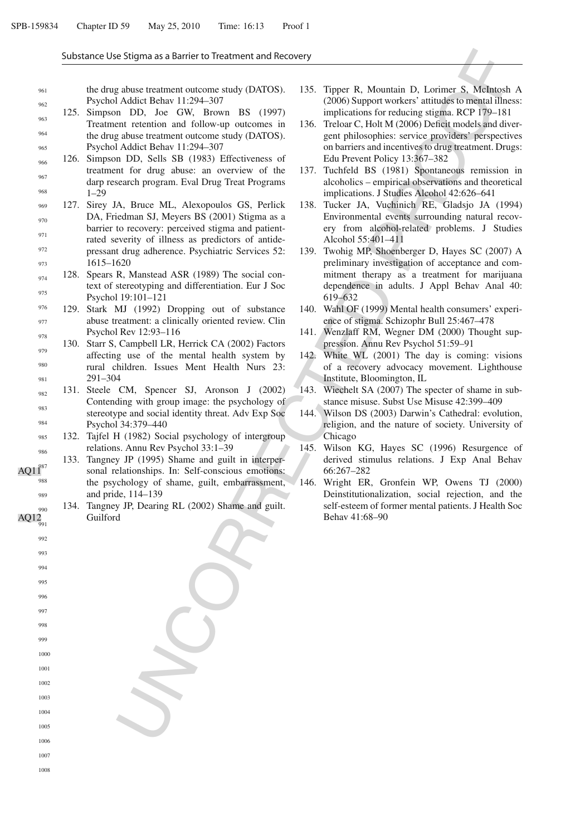- 961 962 the drug abuse treatment outcome study (DATOS). Psychol Addict Behav 11:294–307
- <span id="page-21-16"></span>963 964 965 125. Simpson DD, Joe GW, Brown BS (1997) Treatment retention and follow-up outcomes in the drug abuse treatment outcome study (DATOS). Psychol Addict Behav 11:294–307
- <span id="page-21-13"></span>966 967 968 126. Simpson DD, Sells SB (1983) Effectiveness of treatment for drug abuse: an overview of the darp research program. Eval Drug Treat Programs 1–29
- <span id="page-21-14"></span>969 970 971 972 973 127. Sirey JA, Bruce ML, Alexopoulos GS, Perlick DA, Friedman SJ, Meyers BS (2001) Stigma as a barrier to recovery: perceived stigma and patientrated severity of illness as predictors of antidepressant drug adherence. Psychiatric Services 52: 1615–1620
- <span id="page-21-6"></span>974 975 128. Spears R, Manstead ASR (1989) The social context of stereotyping and differentiation. Eur J Soc Psychol 19:101–121
- <span id="page-21-2"></span>976 977 978 129. Stark MJ (1992) Dropping out of substance abuse treatment: a clinically oriented review. Clin Psychol Rev 12:93–116
- <span id="page-21-15"></span>979 980 981 130. Starr S, Campbell LR, Herrick CA (2002) Factors affecting use of the mental health system by rural children. Issues Ment Health Nurs 23: 291–304
- <span id="page-21-4"></span>982 983 984 131. Steele CM, Spencer SJ, Aronson J (2002) Contending with group image: the psychology of stereotype and social identity threat. Adv Exp Soc Psychol 34:379–440
- <span id="page-21-9"></span><span id="page-21-5"></span><span id="page-21-3"></span>985 986 132. Tajfel H (1982) Social psychology of intergroup relations. Annu Rev Psychol 33:1–39
- <span id="page-21-21"></span><span id="page-21-20"></span>AO1 $1^{987}$ 988 989 133. Tangney JP (1995) Shame and guilt in interpersonal relationships. In: Self-conscious emotions: the psychology of shame, guilt, embarrassment, and pride, 114–139
	- 134. Tangney JP, Dearing RL (2002) Shame and guilt. Guilford

- 135. Tipper R, Mountain D, Lorimer S, McIntosh A (2006) Support workers' attitudes to mental illness: implications for reducing stigma. RCP 179–181
- <span id="page-21-17"></span>136. Treloar C, Holt M (2006) Deficit models and divergent philosophies: service providers' perspectives on barriers and incentives to drug treatment. Drugs: Edu Prevent Policy 13:367–382
- <span id="page-21-19"></span>137. Tuchfeld BS (1981) Spontaneous remission in alcoholics – empirical observations and theoretical implications. J Studies Alcohol 42:626–641
- <span id="page-21-22"></span><span id="page-21-18"></span><span id="page-21-12"></span><span id="page-21-11"></span><span id="page-21-10"></span><span id="page-21-8"></span><span id="page-21-7"></span><span id="page-21-1"></span><span id="page-21-0"></span>138. Tucker JA, Vuchinich RE, Gladsjo JA (1994) Environmental events surrounding natural recovery from alcohol-related problems. J Studies Alcohol 55:401–411
- e Stigma as a Barrier to Treatment and Recovery<br>
a share the Mostmain D. Levinces S. Mahamb<br>
1 abuse reasonness into the S. May 120, 2003. These Equations for example, and the S. Mahamb<br>
1 and Mole Behave 11:294-307<br>
and 139. Twohig MP, Shoenberger D, Hayes SC (2007) A preliminary investigation of acceptance and commitment therapy as a treatment for marijuana dependence in adults. J Appl Behav Anal 40: 619–632
	- 140. Wahl OF (1999) Mental health consumers' experience of stigma. Schizophr Bull 25:467–478
	- 141. Wenzlaff RM, Wegner DM (2000) Thought suppression. Annu Rev Psychol 51:59–91
	- 142. White WL (2001) The day is coming: visions of a recovery advocacy movement. Lighthouse Institute, Bloomington, IL
	- 143. Wiechelt SA (2007) The specter of shame in substance misuse. Subst Use Misuse 42:399–409
	- 144. Wilson DS (2003) Darwin's Cathedral: evolution, religion, and the nature of society. University of Chicago
	- 145. Wilson KG, Hayes SC (1996) Resurgence of derived stimulus relations. J Exp Anal Behav 66:267–282
	- 146. Wright ER, Gronfein WP, Owens TJ (2000) Deinstitutionalization, social rejection, and the self-esteem of former mental patients. J Health Soc Behav 41:68–90